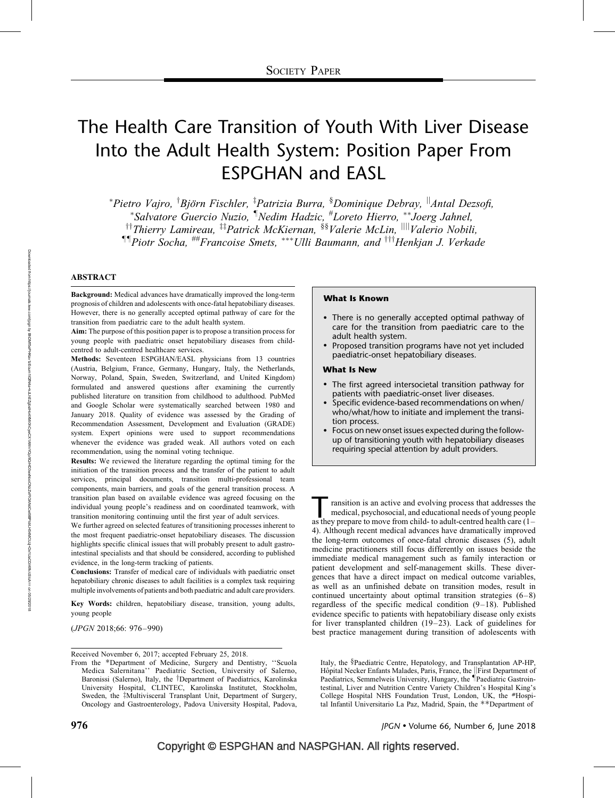# The Health Care Transition of Youth With Liver Disease Into the Adult Health System: Position Paper From ESPGHAN and EASL

\*Pietro Vajro, <sup>†</sup>Björn Fischler, <sup>†</sup>Patrizia Burra, <sup>§</sup>Dominique Debray, <sup>||</sup>Antal Dezsofi,<br>\*Salvatore Guercio Nuzio, <sup>¶</sup>Nadim Hadzic, <sup>#</sup>Loreto Hierro, \*\*Logra Jahnel \*Salvatore Guercio Nuzio, <sup>¶</sup>Nedim Hadzic, <sup>#</sup>Loreto Hierro, \*\*Joerg Jahnel, <sup>††</sup>Thierry Lamireau, <sup>‡‡</sup>Patrick McKiernan, <sup>§§</sup>Valerie McLin, <sup>||||</sup>Valerio Nobili,  $\P$ <sup>[1]</sup>Piotr Socha,  $^{***}$ Francoise Smets,  $^{***}$ Ulli Baumann, and  $^{++}$ Henkjan J. Verkade

#### ABSTRACT

Background: Medical advances have dramatically improved the long-term prognosis of children and adolescents with once-fatal hepatobiliary diseases. However, there is no generally accepted optimal pathway of care for the transition from paediatric care to the adult health system.

Aim: The purpose of this position paper is to propose a transition process for young people with paediatric onset hepatobiliary diseases from childcentred to adult-centred healthcare services.

Methods: Seventeen ESPGHAN/EASL physicians from 13 countries (Austria, Belgium, France, Germany, Hungary, Italy, the Netherlands, Norway, Poland, Spain, Sweden, Switzerland, and United Kingdom) formulated and answered questions after examining the currently published literature on transition from childhood to adulthood. PubMed and Google Scholar were systematically searched between 1980 and January 2018. Quality of evidence was assessed by the Grading of Recommendation Assessment, Development and Evaluation (GRADE) system. Expert opinions were used to support recommendations whenever the evidence was graded weak. All authors voted on each recommendation, using the nominal voting technique.

Results: We reviewed the literature regarding the optimal timing for the initiation of the transition process and the transfer of the patient to adult services, principal documents, transition multi-professional team components, main barriers, and goals of the general transition process. A transition plan based on available evidence was agreed focusing on the individual young people's readiness and on coordinated teamwork, with transition monitoring continuing until the first year of adult services.

We further agreed on selected features of transitioning processes inherent to the most frequent paediatric-onset hepatobiliary diseases. The discussion highlights specific clinical issues that will probably present to adult gastrointestinal specialists and that should be considered, according to published evidence, in the long-term tracking of patients.

Conclusions: Transfer of medical care of individuals with paediatric onset hepatobiliary chronic diseases to adult facilities is a complex task requiring multiple involvements of patients and both paediatric and adult care providers.

Key Words: children, hepatobiliary disease, transition, young adults, young people

(JPGN 2018;66: 976–990)

Received November 6, 2017; accepted February 25, 2018.

From the -Department of Medicine, Surgery and Dentistry, ''Scuola Medica Salernitana'' Paediatric Section, University of Salerno, Baronissi (Salerno), Italy, the <sup>†</sup>Department of Paediatrics, Karolinska University Hospital, CLINTEC, Karolinska Institutet, Stockholm, Sweden, the #Multivisceral Transplant Unit, Department of Surgery, Oncology and Gastroenterology, Padova University Hospital, Padova,

#### What Is Known

- There is no generally accepted optimal pathway of care for the transition from paediatric care to the adult health system.
- Proposed transition programs have not yet included paediatric-onset hepatobiliary diseases.

#### What Is New

- The first agreed intersocietal transition pathway for patients with paediatric-onset liver diseases.
- Specific evidence-based recommendations on when/ who/what/how to initiate and implement the transition process.
- Focus on new onset issues expected during the followup of transitioning youth with hepatobiliary diseases requiring special attention by adult providers.

Transition is an active and evolving process that addresses the medical, psychosocial, and educational needs of young people as they prepare to move from child- to adult-centred health care (1– medical, psychosocial, and educational needs of young people 4). Although recent medical advances have dramatically improved the long-term outcomes of once-fatal chronic diseases (5), adult medicine practitioners still focus differently on issues beside the immediate medical management such as family interaction or patient development and self-management skills. These divergences that have a direct impact on medical outcome variables, as well as an unfinished debate on transition modes, result in continued uncertainty about optimal transition strategies (6–8) regardless of the specific medical condition (9–18). Published evidence specific to patients with hepatobiliary disease only exists for liver transplanted children (19–23). Lack of guidelines for best practice management during transition of adolescents with

Italy, the §Paediatric Centre, Hepatology, and Transplantation AP-HP, Hôpital Necker Enfants Malades, Paris, France, the *First Department of* Paediatrics, Semmelweis University, Hungary, the IPaediatric Gastrointestinal, Liver and Nutrition Centre Variety Children's Hospital King's College Hospital NHS Foundation Trust, London, UK, the #Hospital Infantil Universitario La Paz, Madrid, Spain, the \*\* Department of

 $976$   $976$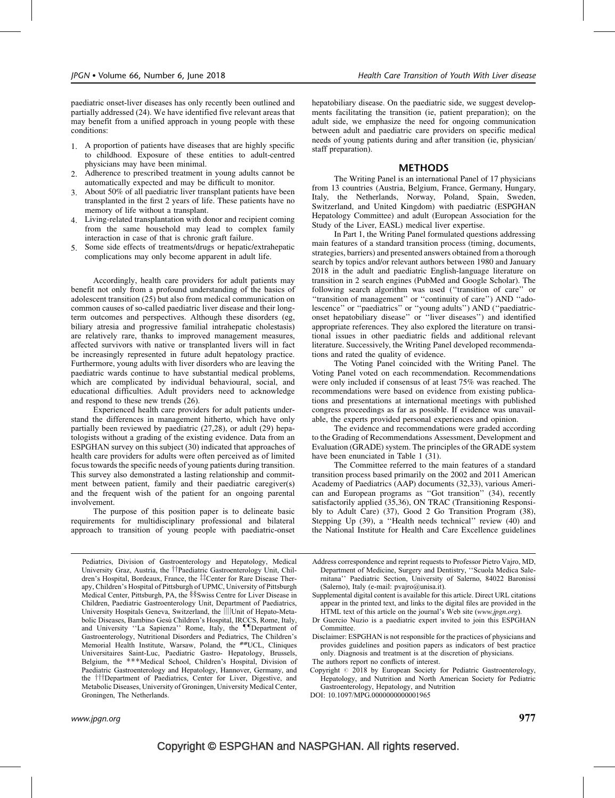paediatric onset-liver diseases has only recently been outlined and partially addressed (24). We have identified five relevant areas that may benefit from a unified approach in young people with these conditions:

- 1. A proportion of patients have diseases that are highly specific to childhood. Exposure of these entities to adult-centred physicians may have been minimal.
- 2. Adherence to prescribed treatment in young adults cannot be automatically expected and may be difficult to monitor.
- 3. About 50% of all paediatric liver transplant patients have been transplanted in the first 2 years of life. These patients have no memory of life without a transplant.
- 4. Living-related transplantation with donor and recipient coming from the same household may lead to complex family interaction in case of that is chronic graft failure.
- 5. Some side effects of treatments/drugs or hepatic/extrahepatic complications may only become apparent in adult life.

Accordingly, health care providers for adult patients may benefit not only from a profound understanding of the basics of adolescent transition (25) but also from medical communication on common causes of so-called paediatric liver disease and their longterm outcomes and perspectives. Although these disorders (eg, biliary atresia and progressive familial intrahepatic cholestasis) are relatively rare, thanks to improved management measures, affected survivors with native or transplanted livers will in fact be increasingly represented in future adult hepatology practice. Furthermore, young adults with liver disorders who are leaving the paediatric wards continue to have substantial medical problems, which are complicated by individual behavioural, social, and educational difficulties. Adult providers need to acknowledge and respond to these new trends (26).

Experienced health care providers for adult patients understand the differences in management hitherto, which have only partially been reviewed by paediatric (27,28), or adult (29) hepatologists without a grading of the existing evidence. Data from an ESPGHAN survey on this subject (30) indicated that approaches of health care providers for adults were often perceived as of limited focus towards the specific needs of young patients during transition. This survey also demonstrated a lasting relationship and commitment between patient, family and their paediatric caregiver(s) and the frequent wish of the patient for an ongoing parental involvement.

The purpose of this position paper is to delineate basic requirements for multidisciplinary professional and bilateral approach to transition of young people with paediatric-onset

Pediatrics, Division of Gastroenterology and Hepatology, Medical University Graz, Austria, the *H* Paediatric Gastroenterology Unit, Children's Hospital, Bordeaux, France, the ‡‡Center for Rare Disease Therapy, Children's Hospital of Pittsburgh of UPMC, University of Pittsburgh Medical Center, Pittsburgh, PA, the §§Swiss Centre for Liver Disease in Children, Paediatric Gastroenterology Unit, Department of Paediatrics, University Hospitals Geneva, Switzerland, the *ill* Unit of Hepato-Metabolic Diseases, Bambino Gesù Children's Hospital, IRCCS, Rome, Italy, and University "La Sapienza" Rome, Italy, the IlDepartment of Gastroenterology, Nutritional Disorders and Pediatrics, The Children's Memorial Health Institute, Warsaw, Poland, the ##UCL, Cliniques Universitaires Saint-Luc, Paediatric Gastro- Hepatology, Brussels, Belgium, the \*\*\*Medical School, Children's Hospital, Division of Paediatric Gastroenterology and Hepatology, Hannover, Germany, and the  $\dagger \dagger$ Department of Paediatrics, Center for Liver, Digestive, and Metabolic Diseases, University of Groningen, University Medical Center, Groningen, The Netherlands.

### METHODS

The Writing Panel is an international Panel of 17 physicians from 13 countries (Austria, Belgium, France, Germany, Hungary, Italy, the Netherlands, Norway, Poland, Spain, Sweden, Switzerland, and United Kingdom) with paediatric (ESPGHAN Hepatology Committee) and adult (European Association for the Study of the Liver, EASL) medical liver expertise.

In Part 1, the Writing Panel formulated questions addressing main features of a standard transition process (timing, documents, strategies, barriers) and presented answers obtained from a thorough search by topics and/or relevant authors between 1980 and January 2018 in the adult and paediatric English-language literature on transition in 2 search engines (PubMed and Google Scholar). The following search algorithm was used (''transition of care'' or ''transition of management'' or ''continuity of care'') AND ''adolescence'' or ''paediatrics'' or ''young adults'') AND (''paediatriconset hepatobiliary disease'' or ''liver diseases'') and identified appropriate references. They also explored the literature on transitional issues in other paediatric fields and additional relevant literature. Successively, the Writing Panel developed recommendations and rated the quality of evidence.

The Voting Panel coincided with the Writing Panel. The Voting Panel voted on each recommendation. Recommendations were only included if consensus of at least 75% was reached. The recommendations were based on evidence from existing publications and presentations at international meetings with published congress proceedings as far as possible. If evidence was unavailable, the experts provided personal experiences and opinion.

The evidence and recommendations were graded according to the Grading of Recommendations Assessment, Development and Evaluation (GRADE) system. The principles of the GRADE system have been enunciated in Table 1 (31).

The Committee referred to the main features of a standard transition process based primarily on the 2002 and 2011 American Academy of Paediatrics (AAP) documents (32,33), various American and European programs as ''Got transition'' (34), recently satisfactorily applied (35,36), ON TRAC (Transitioning Responsibly to Adult Care) (37), Good 2 Go Transition Program (38), Stepping Up (39), a ''Health needs technical'' review (40) and the National Institute for Health and Care Excellence guidelines

Address correspondence and reprint requests to Professor Pietro Vajro, MD, Department of Medicine, Surgery and Dentistry, ''Scuola Medica Salernitana'' Paediatric Section, University of Salerno, 84022 Baronissi (Salerno), Italy (e-mail: [pvajro@unisa.it\)](mailto:pvajro@unisa.it).

Supplemental digital content is available for this article. Direct URL citations appear in the printed text, and links to the digital files are provided in the HTML text of this article on the journal's Web site ([www.jpgn.org](http://www.jpgn.org/)).

Dr Guercio Nuzio is a paediatric expert invited to join this ESPGHAN Committee.

Disclaimer: ESPGHAN is not responsible for the practices of physicians and provides guidelines and position papers as indicators of best practice only. Diagnosis and treatment is at the discretion of physicians. The authors report no conflicts of interest.

Copyright  $\odot$  2018 by European Society for Pediatric Gastroenterology, Hepatology, and Nutrition and North American Society for Pediatric Gastroenterology, Hepatology, and Nutrition

DOI: [10.1097/MPG.0000000000001965](http://dx.doi.org/10.1097/MPG.0000000000001965)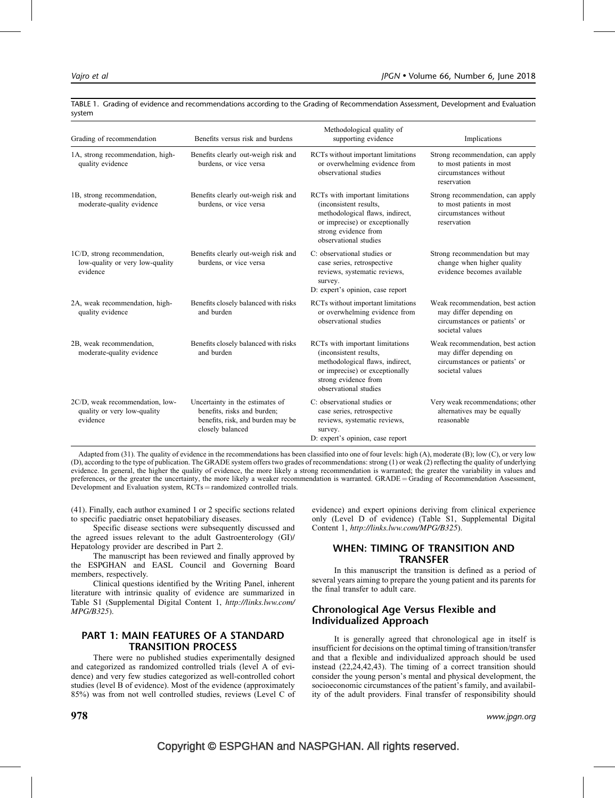| Grading of recommendation                                                   | Benefits versus risk and burdens                                                                                        | Methodological quality of<br>supporting evidence                                                                                                                                | Implications                                                                                                    |
|-----------------------------------------------------------------------------|-------------------------------------------------------------------------------------------------------------------------|---------------------------------------------------------------------------------------------------------------------------------------------------------------------------------|-----------------------------------------------------------------------------------------------------------------|
| 1A, strong recommendation, high-<br>quality evidence                        | Benefits clearly out-weigh risk and<br>burdens, or vice versa                                                           | RCTs without important limitations<br>or overwhelming evidence from<br>observational studies                                                                                    | Strong recommendation, can apply<br>to most patients in most<br>circumstances without<br>reservation            |
| 1B, strong recommendation,<br>moderate-quality evidence                     | Benefits clearly out-weigh risk and<br>burdens, or vice versa                                                           | RCTs with important limitations<br>(inconsistent results.<br>methodological flaws, indirect,<br>or imprecise) or exceptionally<br>strong evidence from<br>observational studies | Strong recommendation, can apply<br>to most patients in most<br>circumstances without<br>reservation            |
| 1C/D, strong recommendation,<br>low-quality or very low-quality<br>evidence | Benefits clearly out-weigh risk and<br>burdens, or vice versa                                                           | C: observational studies or<br>case series, retrospective<br>reviews, systematic reviews,<br>survey.<br>D: expert's opinion, case report                                        | Strong recommendation but may<br>change when higher quality<br>evidence becomes available                       |
| 2A, weak recommendation, high-<br>quality evidence                          | Benefits closely balanced with risks<br>and burden                                                                      | RCTs without important limitations<br>or overwhelming evidence from<br>observational studies                                                                                    | Weak recommendation, best action<br>may differ depending on<br>circumstances or patients' or<br>societal values |
| 2B, weak recommendation,<br>moderate-quality evidence                       | Benefits closely balanced with risks<br>and burden                                                                      | RCTs with important limitations<br>(inconsistent results.<br>methodological flaws, indirect,<br>or imprecise) or exceptionally<br>strong evidence from<br>observational studies | Weak recommendation, best action<br>may differ depending on<br>circumstances or patients' or<br>societal values |
| 2C/D, weak recommendation, low-<br>quality or very low-quality<br>evidence  | Uncertainty in the estimates of<br>benefits, risks and burden;<br>benefits, risk, and burden may be<br>closely balanced | C: observational studies or<br>case series, retrospective<br>reviews, systematic reviews,<br>survey.<br>D: expert's opinion, case report                                        | Very weak recommendations; other<br>alternatives may be equally<br>reasonable                                   |

TABLE 1. Grading of evidence and recommendations according to the Grading of Recommendation Assessment, Development and Evaluation system

Adapted from (31). The quality of evidence in the recommendations has been classified into one of four levels: high (A), moderate (B); low (C), or very low (D), according to the type of publication. The GRADE system offers two grades of recommendations: strong (1) or weak (2) reflecting the quality of underlying evidence. In general, the higher the quality of evidence, the more likely a strong recommendation is warranted; the greater the variability in values and preferences, or the greater the uncertainty, the more likely a weaker recommendation is warranted. GRADE = Grading of Recommendation Assessment, Development and Evaluation system, RCTs = randomized controlled trials.

(41). Finally, each author examined 1 or 2 specific sections related to specific paediatric onset hepatobiliary diseases.

Specific disease sections were subsequently discussed and the agreed issues relevant to the adult Gastroenterology (GI)/ Hepatology provider are described in Part 2.

The manuscript has been reviewed and finally approved by the ESPGHAN and EASL Council and Governing Board members, respectively.

Clinical questions identified by the Writing Panel, inherent literature with intrinsic quality of evidence are summarized in Table S1 (Supplemental Digital Content 1, [http://links.lww.com/](http://links.lww.com/MPG/B325) [MPG/B325](http://links.lww.com/MPG/B325)).

# PART 1: MAIN FEATURES OF A STANDARD TRANSITION PROCESS

There were no published studies experimentally designed and categorized as randomized controlled trials (level A of evidence) and very few studies categorized as well-controlled cohort studies (level B of evidence). Most of the evidence (approximately 85%) was from not well controlled studies, reviews (Level C of evidence) and expert opinions deriving from clinical experience only (Level D of evidence) (Table S1, Supplemental Digital Content 1, <http://links.lww.com/MPG/B325>).

### WHEN: TIMING OF TRANSITION AND TRANSFER

In this manuscript the transition is defined as a period of several years aiming to prepare the young patient and its parents for the final transfer to adult care.

# Chronological Age Versus Flexible and Individualized Approach

It is generally agreed that chronological age in itself is insufficient for decisions on the optimal timing of transition/transfer and that a flexible and individualized approach should be used instead (22,24,42,43). The timing of a correct transition should consider the young person's mental and physical development, the socioeconomic circumstances of the patient's family, and availability of the adult providers. Final transfer of responsibility should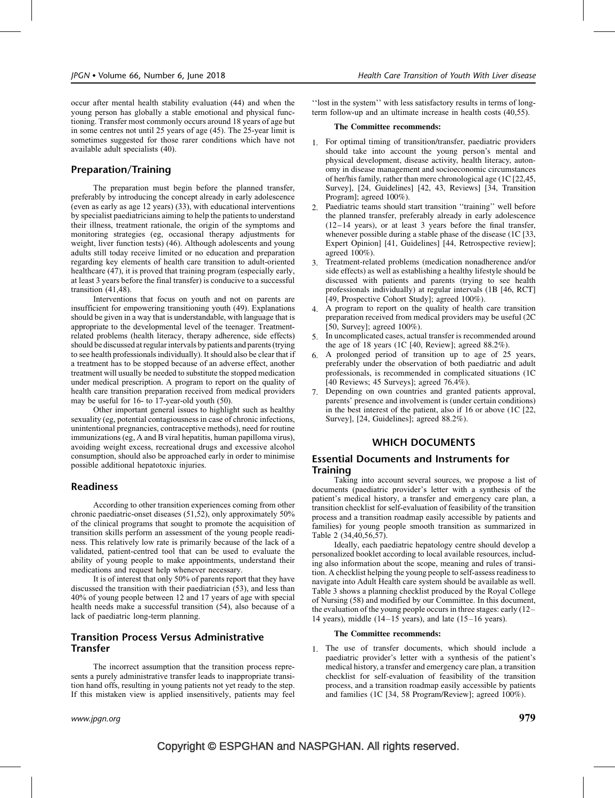occur after mental health stability evaluation (44) and when the young person has globally a stable emotional and physical functioning. Transfer most commonly occurs around 18 years of age but in some centres not until 25 years of age (45). The 25-year limit is sometimes suggested for those rarer conditions which have not available adult specialists (40).

### Preparation/Training

The preparation must begin before the planned transfer, preferably by introducing the concept already in early adolescence (even as early as age 12 years) (33), with educational interventions by specialist paediatricians aiming to help the patients to understand their illness, treatment rationale, the origin of the symptoms and monitoring strategies (eg, occasional therapy adjustments for weight, liver function tests) (46). Although adolescents and young adults still today receive limited or no education and preparation regarding key elements of health care transition to adult-oriented healthcare (47), it is proved that training program (especially early, at least 3 years before the final transfer) is conducive to a successful transition (41,48).

Interventions that focus on youth and not on parents are insufficient for empowering transitioning youth (49). Explanations should be given in a way that is understandable, with language that is appropriate to the developmental level of the teenager. Treatmentrelated problems (health literacy, therapy adherence, side effects) should be discussed at regular intervals by patients and parents (trying to see health professionals individually). It should also be clear that if a treatment has to be stopped because of an adverse effect, another treatment will usually be needed to substitute the stopped medication under medical prescription. A program to report on the quality of health care transition preparation received from medical providers may be useful for 16- to 17-year-old youth (50).

Other important general issues to highlight such as healthy sexuality (eg, potential contagiousness in case of chronic infections, unintentional pregnancies, contraceptive methods), need for routine immunizations (eg, A and B viral hepatitis, human papilloma virus), avoiding weight excess, recreational drugs and excessive alcohol consumption, should also be approached early in order to minimise possible additional hepatotoxic injuries.

### Readiness

According to other transition experiences coming from other chronic paediatric-onset diseases (51,52), only approximately 50% of the clinical programs that sought to promote the acquisition of transition skills perform an assessment of the young people readiness. This relatively low rate is primarily because of the lack of a validated, patient-centred tool that can be used to evaluate the ability of young people to make appointments, understand their medications and request help whenever necessary.

It is of interest that only 50% of parents report that they have discussed the transition with their paediatrician (53), and less than 40% of young people between 12 and 17 years of age with special health needs make a successful transition (54), also because of a lack of paediatric long-term planning.

### Transition Process Versus Administrative Transfer

The incorrect assumption that the transition process represents a purely administrative transfer leads to inappropriate transition hand offs, resulting in young patients not yet ready to the step. If this mistaken view is applied insensitively, patients may feel ''lost in the system'' with less satisfactory results in terms of longterm follow-up and an ultimate increase in health costs (40,55).

#### The Committee recommends:

- 1. For optimal timing of transition/transfer, paediatric providers should take into account the young person's mental and physical development, disease activity, health literacy, autonomy in disease management and socioeconomic circumstances of her/his family, rather than mere chronological age (1C [22,45, Survey], [24, Guidelines] [42, 43, Reviews] [34, Transition Program]; agreed 100%).
- 2. Paediatric teams should start transition ''training'' well before the planned transfer, preferably already in early adolescence (12–14 years), or at least 3 years before the final transfer, whenever possible during a stable phase of the disease (1C [33, Expert Opinion] [41, Guidelines] [44, Retrospective review]; agreed 100%).
- 3. Treatment-related problems (medication nonadherence and/or side effects) as well as establishing a healthy lifestyle should be discussed with patients and parents (trying to see health professionals individually) at regular intervals (1B [46, RCT] [49, Prospective Cohort Study]; agreed 100%).
- 4. A program to report on the quality of health care transition preparation received from medical providers may be useful (2C [50, Survey]; agreed 100%).
- 5. In uncomplicated cases, actual transfer is recommended around the age of 18 years (1C [40, Review]; agreed 88.2%).
- 6. A prolonged period of transition up to age of 25 years, preferably under the observation of both paediatric and adult professionals, is recommended in complicated situations (1C [40 Reviews; 45 Surveys]; agreed 76.4%).
- 7. Depending on own countries and granted patients approval, parents' presence and involvement is (under certain conditions) in the best interest of the patient, also if 16 or above (1C [22, Survey], [24, Guidelines]; agreed 88.2%).

### WHICH DOCUMENTS

### Essential Documents and Instruments for **Training**

Taking into account several sources, we propose a list of documents (paediatric provider's letter with a synthesis of the patient's medical history, a transfer and emergency care plan, a transition checklist for self-evaluation of feasibility of the transition process and a transition roadmap easily accessible by patients and families) for young people smooth transition as summarized in Table 2 (34,40,56,57).

Ideally, each paediatric hepatology centre should develop a personalized booklet according to local available resources, including also information about the scope, meaning and rules of transition. A checklist helping the young people to self-assess readiness to navigate into Adult Health care system should be available as well. Table 3 shows a planning checklist produced by the Royal College of Nursing (58) and modified by our Committee. In this document, the evaluation of the young people occurs in three stages: early (12– 14 years), middle (14–15 years), and late (15–16 years).

#### The Committee recommends:

1. The use of transfer documents, which should include a paediatric provider's letter with a synthesis of the patient's medical history, a transfer and emergency care plan, a transition checklist for self-evaluation of feasibility of the transition process, and a transition roadmap easily accessible by patients and families (1C [34, 58 Program/Review]; agreed 100%).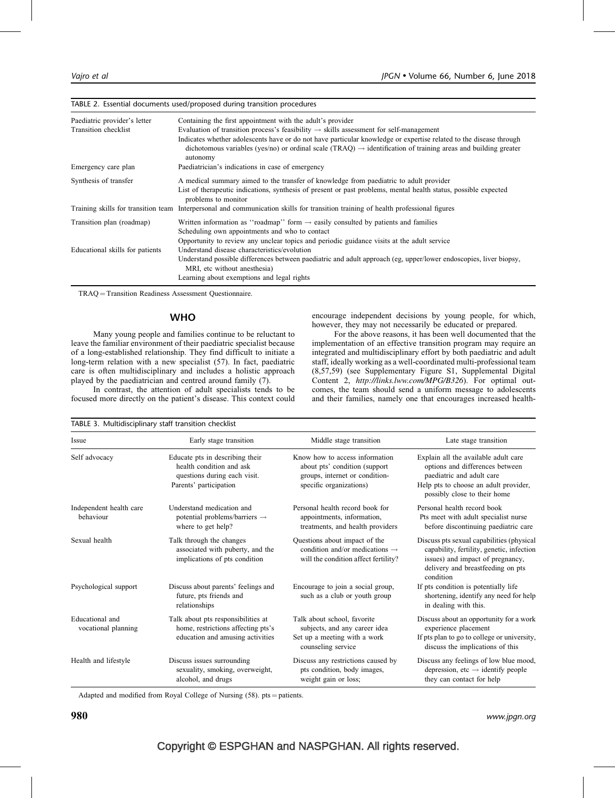| Paediatric provider's letter    | Containing the first appointment with the adult's provider                                                                                                                                                                                                   |
|---------------------------------|--------------------------------------------------------------------------------------------------------------------------------------------------------------------------------------------------------------------------------------------------------------|
| <b>Transition checklist</b>     | Evaluation of transition process's feasibility $\rightarrow$ skills assessment for self-management                                                                                                                                                           |
|                                 | Indicates whether adolescents have or do not have particular knowledge or expertise related to the disease through<br>dichotomous variables (yes/no) or ordinal scale (TRAQ) $\rightarrow$ identification of training areas and building greater<br>autonomy |
| Emergency care plan             | Paediatrician's indications in case of emergency                                                                                                                                                                                                             |
| Synthesis of transfer           | A medical summary aimed to the transfer of knowledge from paediatric to adult provider                                                                                                                                                                       |
|                                 | List of therapeutic indications, synthesis of present or past problems, mental health status, possible expected<br>problems to monitor                                                                                                                       |
|                                 | Training skills for transition team Interpersonal and communication skills for transition training of health professional figures                                                                                                                            |
| Transition plan (roadmap)       | Written information as "roadmap" form $\rightarrow$ easily consulted by patients and families                                                                                                                                                                |
|                                 | Scheduling own appointments and who to contact                                                                                                                                                                                                               |
|                                 | Opportunity to review any unclear topics and periodic guidance visits at the adult service                                                                                                                                                                   |
| Educational skills for patients | Understand disease characteristics/evolution                                                                                                                                                                                                                 |
|                                 | Understand possible differences between paediatric and adult approach (eg, upper/lower endoscopies, liver biopsy,<br>MRI, etc without anesthesia)                                                                                                            |
|                                 | Learning about exemptions and legal rights                                                                                                                                                                                                                   |

TABLE 2. Essential documents used/proposed during transition procedures

TRAQ = Transition Readiness Assessment Questionnaire.

### **WHO**

Many young people and families continue to be reluctant to leave the familiar environment of their paediatric specialist because of a long-established relationship. They find difficult to initiate a long-term relation with a new specialist (57). In fact, paediatric care is often multidisciplinary and includes a holistic approach played by the paediatrician and centred around family (7).

In contrast, the attention of adult specialists tends to be focused more directly on the patient's disease. This context could encourage independent decisions by young people, for which, however, they may not necessarily be educated or prepared.

For the above reasons, it has been well documented that the implementation of an effective transition program may require an integrated and multidisciplinary effort by both paediatric and adult staff, ideally working as a well-coordinated multi-professional team (8,57,59) (see Supplementary Figure S1, Supplemental Digital Content 2, <http://links.lww.com/MPG/B326>). For optimal outcomes, the team should send a uniform message to adolescents and their families, namely one that encourages increased health-

| Issue                                  | Early stage transition                                                                                                | Middle stage transition                                                                                                      | Late stage transition                                                                                                                                                         |
|----------------------------------------|-----------------------------------------------------------------------------------------------------------------------|------------------------------------------------------------------------------------------------------------------------------|-------------------------------------------------------------------------------------------------------------------------------------------------------------------------------|
| Self advocacy                          | Educate pts in describing their<br>health condition and ask<br>questions during each visit.<br>Parents' participation | Know how to access information<br>about pts' condition (support<br>groups, internet or condition-<br>specific organizations) | Explain all the available adult care<br>options and differences between<br>paediatric and adult care<br>Help pts to choose an adult provider,<br>possibly close to their home |
| Independent health care<br>behaviour   | Understand medication and<br>potential problems/barriers $\rightarrow$<br>where to get help?                          | Personal health record book for<br>appointments, information,<br>treatments, and health providers                            | Personal health record book<br>Pts meet with adult specialist nurse<br>before discontinuing paediatric care                                                                   |
| Sexual health                          | Talk through the changes<br>associated with puberty, and the<br>implications of pts condition                         | Questions about impact of the<br>condition and/or medications $\rightarrow$<br>will the condition affect fertility?          | Discuss pts sexual capabilities (physical<br>capability, fertility, genetic, infection<br>issues) and impact of pregnancy,<br>delivery and breastfeeding on pts<br>condition  |
| Psychological support                  | Discuss about parents' feelings and<br>future, pts friends and<br>relationships                                       | Encourage to join a social group,<br>such as a club or youth group                                                           | If pts condition is potentially life<br>shortening, identify any need for help<br>in dealing with this.                                                                       |
| Educational and<br>vocational planning | Talk about pts responsibilities at<br>home, restrictions affecting pts's<br>education and amusing activities          | Talk about school, favorite<br>subjects, and any career idea<br>Set up a meeting with a work<br>counseling service           | Discuss about an opportunity for a work<br>experience placement<br>If pts plan to go to college or university,<br>discuss the implications of this                            |
| Health and lifestyle                   | Discuss issues surrounding<br>sexuality, smoking, overweight,<br>alcohol, and drugs                                   | Discuss any restrictions caused by<br>pts condition, body images,<br>weight gain or loss;                                    | Discuss any feelings of low blue mood,<br>depression, etc $\rightarrow$ identify people<br>they can contact for help                                                          |

Adapted and modified from Royal College of Nursing  $(58)$ . pts = patients.

 $\bf 980$  www.jpgn.org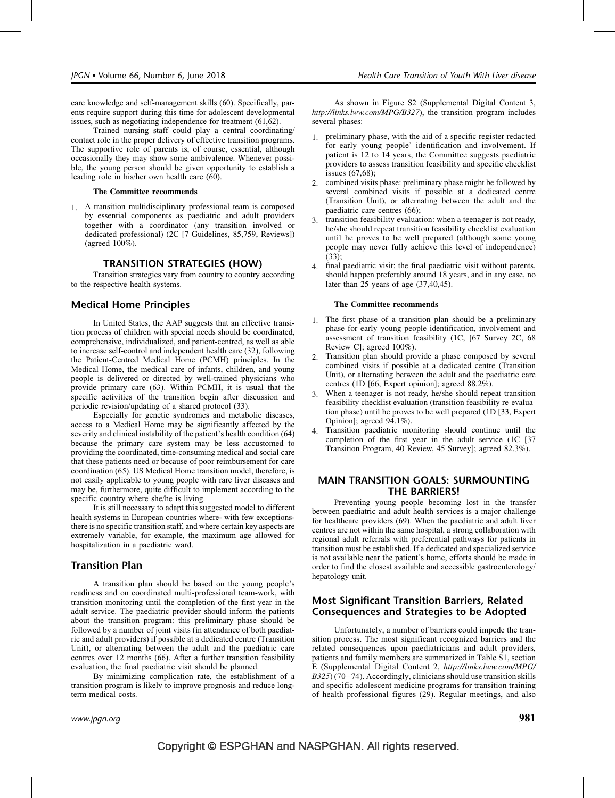care knowledge and self-management skills (60). Specifically, parents require support during this time for adolescent developmental issues, such as negotiating independence for treatment (61,62).

Trained nursing staff could play a central coordinating/ contact role in the proper delivery of effective transition programs. The supportive role of parents is, of course, essential, although occasionally they may show some ambivalence. Whenever possible, the young person should be given opportunity to establish a leading role in his/her own health care (60).

#### The Committee recommends

1. A transition multidisciplinary professional team is composed by essential components as paediatric and adult providers together with a coordinator (any transition involved or dedicated professional) (2C [7 Guidelines, 85,759, Reviews]) (agreed 100%).

### TRANSITION STRATEGIES (HOW)

Transition strategies vary from country to country according to the respective health systems.

### Medical Home Principles

In United States, the AAP suggests that an effective transition process of children with special needs should be coordinated, comprehensive, individualized, and patient-centred, as well as able to increase self-control and independent health care (32), following the Patient-Centred Medical Home (PCMH) principles. In the Medical Home, the medical care of infants, children, and young people is delivered or directed by well-trained physicians who provide primary care (63). Within PCMH, it is usual that the specific activities of the transition begin after discussion and periodic revision/updating of a shared protocol (33).

Especially for genetic syndromes and metabolic diseases, access to a Medical Home may be significantly affected by the severity and clinical instability of the patient's health condition (64) because the primary care system may be less accustomed to providing the coordinated, time-consuming medical and social care that these patients need or because of poor reimbursement for care coordination (65). US Medical Home transition model, therefore, is not easily applicable to young people with rare liver diseases and may be, furthermore, quite difficult to implement according to the specific country where she/he is living.

It is still necessary to adapt this suggested model to different health systems in European countries where- with few exceptionsthere is no specific transition staff, and where certain key aspects are extremely variable, for example, the maximum age allowed for hospitalization in a paediatric ward.

### Transition Plan

A transition plan should be based on the young people's readiness and on coordinated multi-professional team-work, with transition monitoring until the completion of the first year in the adult service. The paediatric provider should inform the patients about the transition program: this preliminary phase should be followed by a number of joint visits (in attendance of both paediatric and adult providers) if possible at a dedicated centre (Transition Unit), or alternating between the adult and the paediatric care centres over 12 months (66). After a further transition feasibility evaluation, the final paediatric visit should be planned.

By minimizing complication rate, the establishment of a transition program is likely to improve prognosis and reduce longterm medical costs.

As shown in Figure S2 (Supplemental Digital Content 3, <http://links.lww.com/MPG/B327>), the transition program includes several phases:

- 1. preliminary phase, with the aid of a specific register redacted for early young people' identification and involvement. If patient is 12 to 14 years, the Committee suggests paediatric providers to assess transition feasibility and specific checklist issues (67,68);
- 2. combined visits phase: preliminary phase might be followed by several combined visits if possible at a dedicated centre (Transition Unit), or alternating between the adult and the paediatric care centres (66);
- 3. transition feasibility evaluation: when a teenager is not ready, he/she should repeat transition feasibility checklist evaluation until he proves to be well prepared (although some young people may never fully achieve this level of independence)  $(33)$ :
- 4. final paediatric visit: the final paediatric visit without parents, should happen preferably around 18 years, and in any case, no later than 25 years of age (37,40,45).

#### The Committee recommends

- 1. The first phase of a transition plan should be a preliminary phase for early young people identification, involvement and assessment of transition feasibility (1C, [67 Survey 2C, 68 Review C]; agreed 100%).
- 2. Transition plan should provide a phase composed by several combined visits if possible at a dedicated centre (Transition Unit), or alternating between the adult and the paediatric care centres (1D [66, Expert opinion]; agreed 88.2%).
- 3. When a teenager is not ready, he/she should repeat transition feasibility checklist evaluation (transition feasibility re-evaluation phase) until he proves to be well prepared (1D [33, Expert Opinion]; agreed 94.1%).
- 4. Transition paediatric monitoring should continue until the completion of the first year in the adult service (1C [37 Transition Program, 40 Review, 45 Survey]; agreed 82.3%).

### MAIN TRANSITION GOALS: SURMOUNTING THE BARRIERS!

Preventing young people becoming lost in the transfer between paediatric and adult health services is a major challenge for healthcare providers (69). When the paediatric and adult liver centres are not within the same hospital, a strong collaboration with regional adult referrals with preferential pathways for patients in transition must be established. If a dedicated and specialized service is not available near the patient's home, efforts should be made in order to find the closest available and accessible gastroenterology/ hepatology unit.

### Most Significant Transition Barriers, Related Consequences and Strategies to be Adopted

Unfortunately, a number of barriers could impede the transition process. The most significant recognized barriers and the related consequences upon paediatricians and adult providers, patients and family members are summarized in Table S1, section E (Supplemental Digital Content 2, [http://links.lww.com/MPG/](http://links.lww.com/MPG/B325) [B325](http://links.lww.com/MPG/B325)) (70–74). Accordingly, clinicians should use transition skills and specific adolescent medicine programs for transition training of health professional figures (29). Regular meetings, and also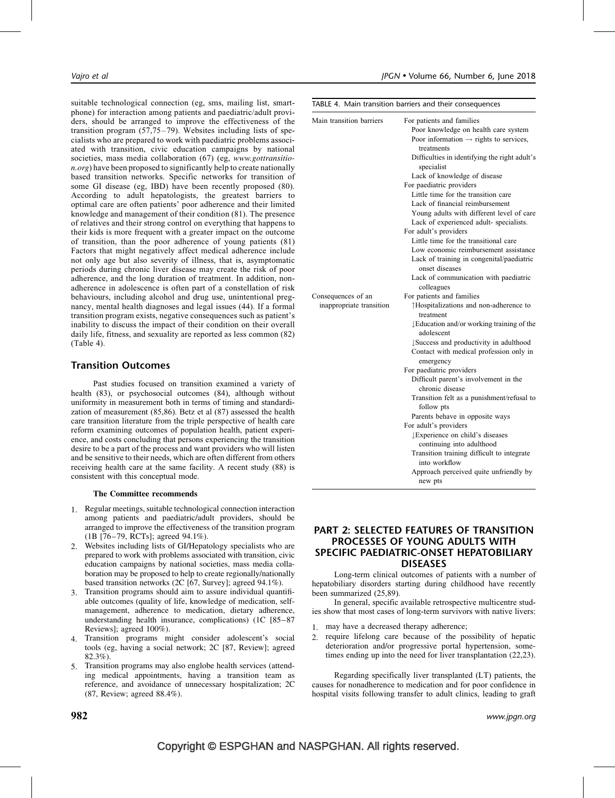suitable technological connection (eg, sms, mailing list, smartphone) for interaction among patients and paediatric/adult providers, should be arranged to improve the effectiveness of the transition program  $(57,75-79)$ . Websites including lists of specialists who are prepared to work with paediatric problems associated with transition, civic education campaigns by national societies, mass media collaboration (67) (eg, [www.gottransitio](http://www.gottransition.org/)[n.org](http://www.gottransition.org/)) have been proposed to significantly help to create nationally based transition networks. Specific networks for transition of some GI disease (eg, IBD) have been recently proposed (80). According to adult hepatologists, the greatest barriers to optimal care are often patients' poor adherence and their limited knowledge and management of their condition (81). The presence of relatives and their strong control on everything that happens to their kids is more frequent with a greater impact on the outcome of transition, than the poor adherence of young patients (81) Factors that might negatively affect medical adherence include not only age but also severity of illness, that is, asymptomatic periods during chronic liver disease may create the risk of poor adherence, and the long duration of treatment. In addition, nonadherence in adolescence is often part of a constellation of risk behaviours, including alcohol and drug use, unintentional pregnancy, mental health diagnoses and legal issues (44). If a formal transition program exists, negative consequences such as patient's inability to discuss the impact of their condition on their overall daily life, fitness, and sexuality are reported as less common (82) (Table 4).

### Transition Outcomes

Past studies focused on transition examined a variety of health (83), or psychosocial outcomes (84), although without uniformity in measurement both in terms of timing and standardization of measurement (85,86). Betz et al (87) assessed the health care transition literature from the triple perspective of health care reform examining outcomes of population health, patient experience, and costs concluding that persons experiencing the transition desire to be a part of the process and want providers who will listen and be sensitive to their needs, which are often different from others receiving health care at the same facility. A recent study (88) is consistent with this conceptual mode.

#### The Committee recommends

- 1. Regular meetings, suitable technological connection interaction among patients and paediatric/adult providers, should be arranged to improve the effectiveness of the transition program (1B [76–79, RCTs]; agreed 94.1%).
- 2. Websites including lists of GI/Hepatology specialists who are prepared to work with problems associated with transition, civic education campaigns by national societies, mass media collaboration may be proposed to help to create regionally/nationally based transition networks (2C [67, Survey]; agreed 94.1%).
- 3. Transition programs should aim to assure individual quantifiable outcomes (quality of life, knowledge of medication, selfmanagement, adherence to medication, dietary adherence, understanding health insurance, complications) (1C [85–87 Reviews]; agreed 100%).
- 4. Transition programs might consider adolescent's social tools (eg, having a social network; 2C [87, Review]; agreed 82.3%).
- 5. Transition programs may also englobe health services (attending medical appointments, having a transition team as reference, and avoidance of unnecessary hospitalization; 2C (87, Review; agreed 88.4%).

TABLE 4. Main transition barriers and their consequences

| Main transition barriers | For patients and families                                   |
|--------------------------|-------------------------------------------------------------|
|                          | Poor knowledge on health care system                        |
|                          | Poor information $\rightarrow$ rights to services,          |
|                          | treatments                                                  |
|                          | Difficulties in identifying the right adult's<br>specialist |
|                          | Lack of knowledge of disease                                |
|                          | For paediatric providers                                    |
|                          | Little time for the transition care                         |
|                          | Lack of financial reimbursement                             |
|                          | Young adults with different level of care                   |
|                          | Lack of experienced adult- specialists.                     |
|                          | For adult's providers                                       |
|                          | Little time for the transitional care                       |
|                          | Low economic reimbursement assistance                       |
|                          | Lack of training in congenital/paediatric<br>onset diseases |
|                          | Lack of communication with paediatric<br>colleagues         |
| Consequences of an       | For patients and families                                   |
| inappropriate transition | ¡Hospitalizations and non-adherence to                      |
|                          | treatment                                                   |
|                          | ↓ Education and/or working training of the                  |
|                          | adolescent                                                  |
|                          | ↓ Success and productivity in adulthood                     |
|                          | Contact with medical profession only in                     |
|                          | emergency                                                   |
|                          | For paediatric providers                                    |
|                          | Difficult parent's involvement in the                       |
|                          | chronic disease                                             |
|                          | Transition felt as a punishment/refusal to                  |
|                          | follow pts                                                  |
|                          | Parents behave in opposite ways                             |
|                          | For adult's providers                                       |
|                          | L'Experience on child's diseases                            |
|                          | continuing into adulthood                                   |
|                          | Transition training difficult to integrate                  |
|                          | into workflow                                               |
|                          | Approach perceived quite unfriendly by                      |
|                          | new pts                                                     |

### PART 2: SELECTED FEATURES OF TRANSITION PROCESSES OF YOUNG ADULTS WITH SPECIFIC PAEDIATRIC-ONSET HEPATOBILIARY DISEASES

Long-term clinical outcomes of patients with a number of hepatobiliary disorders starting during childhood have recently been summarized (25,89).

In general, specific available retrospective multicentre studies show that most cases of long-term survivors with native livers:

- 1. may have a decreased therapy adherence;
- 2. require lifelong care because of the possibility of hepatic deterioration and/or progressive portal hypertension, sometimes ending up into the need for liver transplantation (22,23).

Regarding specifically liver transplanted (LT) patients, the causes for nonadherence to medication and for poor confidence in hospital visits following transfer to adult clinics, leading to graft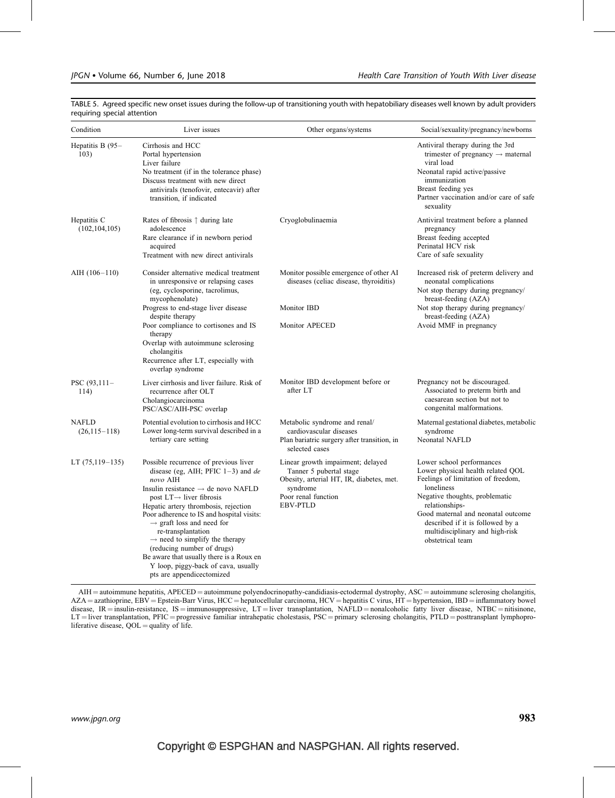| Condition                         | Liver issues                                                                                                                                                                                                                                                                                                                                                                                                                                                                                                                         | Other organs/systems                                                                                                                                           | Social/sexuality/pregnancy/newborns                                                                                                                                                                                                                                                                     |
|-----------------------------------|--------------------------------------------------------------------------------------------------------------------------------------------------------------------------------------------------------------------------------------------------------------------------------------------------------------------------------------------------------------------------------------------------------------------------------------------------------------------------------------------------------------------------------------|----------------------------------------------------------------------------------------------------------------------------------------------------------------|---------------------------------------------------------------------------------------------------------------------------------------------------------------------------------------------------------------------------------------------------------------------------------------------------------|
| Hepatitis B (95-<br>103)          | Cirrhosis and HCC<br>Portal hypertension<br>Liver failure<br>No treatment (if in the tolerance phase)<br>Discuss treatment with new direct<br>antivirals (tenofovir, entecavir) after<br>transition, if indicated                                                                                                                                                                                                                                                                                                                    |                                                                                                                                                                | Antiviral therapy during the 3rd<br>trimester of pregnancy $\rightarrow$ maternal<br>viral load<br>Neonatal rapid active/passive<br>immunization<br>Breast feeding yes<br>Partner vaccination and/or care of safe<br>sexuality                                                                          |
| Hepatitis C<br>(102, 104, 105)    | Rates of fibrosis $\uparrow$ during late<br>adolescence<br>Rare clearance if in newborn period<br>acquired<br>Treatment with new direct antivirals                                                                                                                                                                                                                                                                                                                                                                                   | Cryoglobulinaemia                                                                                                                                              | Antiviral treatment before a planned<br>pregnancy<br>Breast feeding accepted<br>Perinatal HCV risk<br>Care of safe sexuality                                                                                                                                                                            |
| AIH $(106-110)$                   | Consider alternative medical treatment<br>in unresponsive or relapsing cases<br>(eg, cyclosporine, tacrolimus,<br>mycophenolate)                                                                                                                                                                                                                                                                                                                                                                                                     | Monitor possible emergence of other AI<br>diseases (celiac disease, thyroiditis)                                                                               | Increased risk of preterm delivery and<br>neonatal complications<br>Not stop therapy during pregnancy/<br>breast-feeding (AZA)                                                                                                                                                                          |
|                                   | Progress to end-stage liver disease<br>despite therapy<br>Poor compliance to cortisones and IS<br>therapy<br>Overlap with autoimmune sclerosing<br>cholangitis<br>Recurrence after LT, especially with<br>overlap syndrome                                                                                                                                                                                                                                                                                                           | Monitor IBD<br><b>Monitor APECED</b>                                                                                                                           | Not stop therapy during pregnancy/<br>breast-feeding (AZA)<br>Avoid MMF in pregnancy                                                                                                                                                                                                                    |
| PSC (93,111-<br>114)              | Liver cirrhosis and liver failure. Risk of<br>recurrence after OLT<br>Cholangiocarcinoma<br>PSC/ASC/AIH-PSC overlap                                                                                                                                                                                                                                                                                                                                                                                                                  | Monitor IBD development before or<br>after LT                                                                                                                  | Pregnancy not be discouraged.<br>Associated to preterm birth and<br>caesarean section but not to<br>congenital malformations.                                                                                                                                                                           |
| <b>NAFLD</b><br>$(26, 115 - 118)$ | Potential evolution to cirrhosis and HCC<br>Lower long-term survival described in a<br>tertiary care setting                                                                                                                                                                                                                                                                                                                                                                                                                         | Metabolic syndrome and renal/<br>cardiovascular diseases<br>Plan bariatric surgery after transition, in<br>selected cases                                      | Maternal gestational diabetes, metabolic<br>syndrome<br>Neonatal NAFLD                                                                                                                                                                                                                                  |
| LT $(75, 119 - 135)$              | Possible recurrence of previous liver<br>disease (eg, AIH; PFIC $1-3$ ) and de<br>novo AIH<br>Insulin resistance $\rightarrow$ de novo NAFLD<br>post $LT \rightarrow$ liver fibrosis<br>Hepatic artery thrombosis, rejection<br>Poor adherence to IS and hospital visits:<br>$\rightarrow$ graft loss and need for<br>re-transplantation<br>$\rightarrow$ need to simplify the therapy<br>(reducing number of drugs)<br>Be aware that usually there is a Roux en<br>Y loop, piggy-back of cava, usually<br>pts are appendicectomized | Linear growth impairment; delayed<br>Tanner 5 pubertal stage<br>Obesity, arterial HT, IR, diabetes, met.<br>syndrome<br>Poor renal function<br><b>EBV-PTLD</b> | Lower school performances<br>Lower physical health related QOL<br>Feelings of limitation of freedom,<br>loneliness<br>Negative thoughts, problematic<br>relationships-<br>Good maternal and neonatal outcome<br>described if it is followed by a<br>multidisciplinary and high-risk<br>obstetrical team |

TABLE 5. Agreed specific new onset issues during the follow-up of transitioning youth with hepatobiliary diseases well known by adult providers requiring special attention

 $AH =$  autoimmune hepatitis, APECED = autoimmune polyendocrinopathy-candidiasis-ectodermal dystrophy, ASC = autoimmune sclerosing cholangitis, AZA = azathioprine, EBV = Epstein-Barr Virus, HCC = hepatocellular carcinoma, HCV = hepatitis C virus, HT = hypertension, IBD = inflammatory bowel disease, IR = insulin-resistance, IS = immunosuppressive, LT = liver transplantation, NAFLD = nonalcoholic fatty liver disease, NTBC = nitisinone,  $LT =$  liver transplantation, PFIC = progressive familiar intrahepatic cholestasis, PSC = primary sclerosing cholangitis, PTLD = posttransplant lymphoproliferative disease,  $QOL =$  quality of life.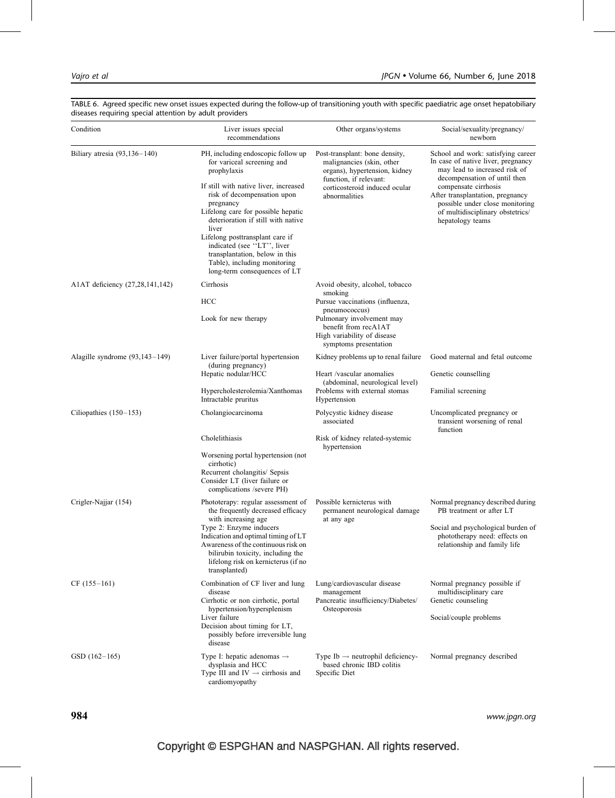| Condition                           | Liver issues special<br>recommendations                                                                                                                                                                                                                                                                                                                                                                                      | Other organs/systems                                                                                                                                                                                        | Social/sexuality/pregnancy/<br>newborn                                                                                                                                                                                                                                                           |
|-------------------------------------|------------------------------------------------------------------------------------------------------------------------------------------------------------------------------------------------------------------------------------------------------------------------------------------------------------------------------------------------------------------------------------------------------------------------------|-------------------------------------------------------------------------------------------------------------------------------------------------------------------------------------------------------------|--------------------------------------------------------------------------------------------------------------------------------------------------------------------------------------------------------------------------------------------------------------------------------------------------|
| Biliary atresia $(93, 136 - 140)$   | PH, including endoscopic follow up<br>for variceal screening and<br>prophylaxis<br>If still with native liver, increased<br>risk of decompensation upon<br>pregnancy<br>Lifelong care for possible hepatic<br>deterioration if still with native<br>liver<br>Lifelong posttransplant care if<br>indicated (see "LT", liver<br>transplantation, below in this<br>Table), including monitoring<br>long-term consequences of LT | Post-transplant: bone density,<br>malignancies (skin, other<br>organs), hypertension, kidney<br>function, if relevant:<br>corticosteroid induced ocular<br>abnormalities                                    | School and work: satisfying career<br>In case of native liver, pregnancy<br>may lead to increased risk of<br>decompensation of until then<br>compensate cirrhosis<br>After transplantation, pregnancy<br>possible under close monitoring<br>of multidisciplinary obstetrics/<br>hepatology teams |
| A1AT deficiency (27,28,141,142)     | Cirrhosis<br>HCC<br>Look for new therapy                                                                                                                                                                                                                                                                                                                                                                                     | Avoid obesity, alcohol, tobacco<br>smoking<br>Pursue vaccinations (influenza,<br>pneumococcus)<br>Pulmonary involvement may<br>benefit from recA1AT<br>High variability of disease<br>symptoms presentation |                                                                                                                                                                                                                                                                                                  |
| Alagille syndrome $(93, 143 - 149)$ | Liver failure/portal hypertension<br>(during pregnancy)<br>Hepatic nodular/HCC<br>Hypercholesterolemia/Xanthomas<br>Intractable pruritus                                                                                                                                                                                                                                                                                     | Kidney problems up to renal failure<br>Heart /vascular anomalies<br>(abdominal, neurological level)<br>Problems with external stomas<br>Hypertension                                                        | Good maternal and fetal outcome<br>Genetic counselling<br>Familial screening                                                                                                                                                                                                                     |
| Ciliopathies $(150-153)$            | Cholangiocarcinoma<br>Cholelithiasis<br>Worsening portal hypertension (not<br>cirrhotic)<br>Recurrent cholangitis/ Sepsis<br>Consider LT (liver failure or<br>complications /severe PH)                                                                                                                                                                                                                                      | Polycystic kidney disease<br>associated<br>Risk of kidney related-systemic<br>hypertension                                                                                                                  | Uncomplicated pregnancy or<br>transient worsening of renal<br>function                                                                                                                                                                                                                           |
| Crigler-Najjar (154)                | Phototerapy: regular assessment of<br>the frequently decreased efficacy<br>with increasing age<br>Type 2: Enzyme inducers<br>Indication and optimal timing of LT<br>Awareness of the continuous risk on<br>bilirubin toxicity, including the<br>lifelong risk on kernicterus (if no<br>transplanted)                                                                                                                         | Possible kernicterus with<br>permanent neurological damage<br>at any age                                                                                                                                    | Normal pregnancy described during<br>PB treatment or after LT<br>Social and psychological burden of<br>phototherapy need: effects on<br>relationship and family life                                                                                                                             |
| $CF(155-161)$                       | Combination of CF liver and lung<br>disease<br>Cirrhotic or non cirrhotic, portal<br>hypertension/hypersplenism<br>Liver failure<br>Decision about timing for LT,<br>possibly before irreversible lung<br>disease                                                                                                                                                                                                            | Lung/cardiovascular disease<br>management<br>Pancreatic insufficiency/Diabetes/<br>Osteoporosis                                                                                                             | Normal pregnancy possible if<br>multidisciplinary care<br>Genetic counseling<br>Social/couple problems                                                                                                                                                                                           |
| $GSD(162-165)$                      | Type I: hepatic adenomas $\rightarrow$<br>dysplasia and HCC<br>Type III and IV $\rightarrow$ cirrhosis and<br>cardiomyopathy                                                                                                                                                                                                                                                                                                 | Type Ib $\rightarrow$ neutrophil deficiency-<br>based chronic IBD colitis<br>Specific Diet                                                                                                                  | Normal pregnancy described                                                                                                                                                                                                                                                                       |

TABLE 6. Agreed specific new onset issues expected during the follow-up of transitioning youth with specific paediatric age onset hepatobiliary diseases requiring special attention by adult providers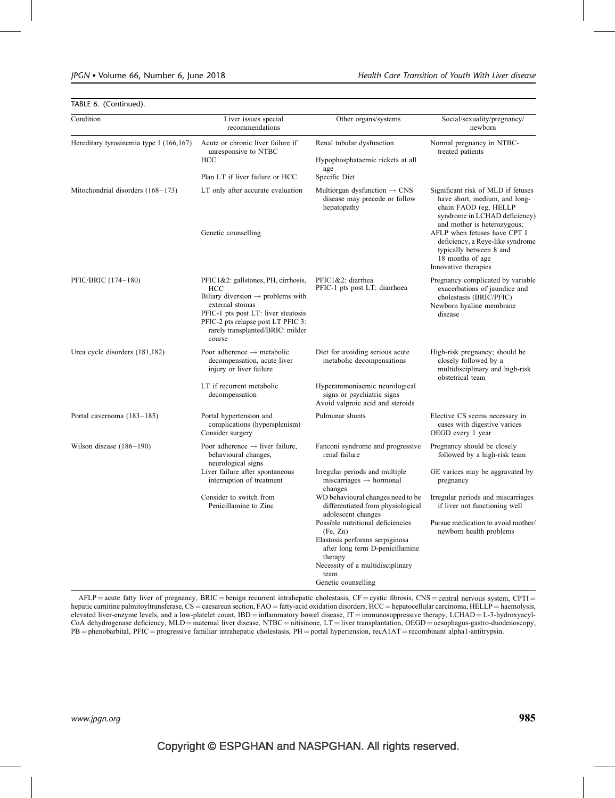|  | TABLE 6. (Continued). |
|--|-----------------------|
|--|-----------------------|

| Condition                               | Liver issues special<br>recommendations                                                                                                                                                                                                          | Other organs/systems                                                                                                                                                                              | Social/sexuality/pregnancy/<br>newborn                                                                                                                                                       |
|-----------------------------------------|--------------------------------------------------------------------------------------------------------------------------------------------------------------------------------------------------------------------------------------------------|---------------------------------------------------------------------------------------------------------------------------------------------------------------------------------------------------|----------------------------------------------------------------------------------------------------------------------------------------------------------------------------------------------|
| Hereditary tyrosinemia type I (166,167) | Acute or chronic liver failure if<br>unresponsive to NTBC                                                                                                                                                                                        | Renal tubular dysfunction                                                                                                                                                                         | Normal pregnancy in NTBC-<br>treated patients                                                                                                                                                |
|                                         | HCC                                                                                                                                                                                                                                              | Hypophosphataemic rickets at all<br>age                                                                                                                                                           |                                                                                                                                                                                              |
|                                         | Plan LT if liver failure or HCC                                                                                                                                                                                                                  | Specific Diet                                                                                                                                                                                     |                                                                                                                                                                                              |
| Mitochondrial disorders $(168-173)$     | LT only after accurate evaluation<br>Genetic counselling                                                                                                                                                                                         | Multiorgan dysfunction $\rightarrow$ CNS<br>disease may precede or follow<br>hepatopathy                                                                                                          | Significant risk of MLD if fetuses<br>have short, medium, and long-<br>chain FAOD (eg, HELLP<br>syndrome in LCHAD deficiency)<br>and mother is heterozygous;<br>AFLP when fetuses have CPT I |
|                                         |                                                                                                                                                                                                                                                  |                                                                                                                                                                                                   | deficiency, a Reye-like syndrome<br>typically between 8 and<br>18 months of age<br>Innovative therapies                                                                                      |
| PFIC/BRIC (174-180)                     | PFIC1&2: gallstones, PH, cirrhosis,<br><b>HCC</b><br>Biliary diversion $\rightarrow$ problems with<br>external stomas<br>PFIC-1 pts post LT: liver steatosis<br>PFIC-2 pts relapse post LT PFIC 3:<br>rarely transplanted/BRIC: milder<br>course | PFIC1&2: diarrhea<br>PFIC-1 pts post LT: diarrhoea                                                                                                                                                | Pregnancy complicated by variable<br>exacerbations of jaundice and<br>cholestasis (BRIC/PFIC)<br>Newborn hyaline membrane<br>disease                                                         |
| Urea cycle disorders (181,182)          | Poor adherence $\rightarrow$ metabolic<br>decompensation, acute liver<br>injury or liver failure                                                                                                                                                 | Diet for avoiding serious acute<br>metabolic decompensations                                                                                                                                      | High-risk pregnancy; should be<br>closely followed by a<br>multidisciplinary and high-risk<br>obstetrical team                                                                               |
|                                         | LT if recurrent metabolic<br>decompensation                                                                                                                                                                                                      | Hyperammoniaemic neurological<br>signs or psychiatric signs<br>Avoid valproic acid and steroids                                                                                                   |                                                                                                                                                                                              |
| Portal cavernoma (183-185)              | Portal hypertension and<br>complications (hypersplenism)<br>Consider surgery                                                                                                                                                                     | Pulmunar shunts                                                                                                                                                                                   | Elective CS seems necessary in<br>cases with digestive varices<br>OEGD every 1 year                                                                                                          |
| Wilson disease $(186-190)$              | Poor adherence $\rightarrow$ liver failure,<br>behavioural changes,<br>neurological signs                                                                                                                                                        | Fanconi syndrome and progressive<br>renal failure                                                                                                                                                 | Pregnancy should be closely<br>followed by a high-risk team                                                                                                                                  |
|                                         | Liver failure after spontaneous<br>interruption of treatment                                                                                                                                                                                     | Irregular periods and multiple<br>miscarriages $\rightarrow$ hormonal<br>changes                                                                                                                  | GE varices may be aggravated by<br>pregnancy                                                                                                                                                 |
|                                         | Consider to switch from<br>Penicillamine to Zinc                                                                                                                                                                                                 | WD behavioural changes need to be<br>differentiated from physiological<br>adolescent changes                                                                                                      | Irregular periods and miscarriages<br>if liver not functioning well                                                                                                                          |
|                                         |                                                                                                                                                                                                                                                  | Possible nutritional deficiencies<br>(Fe, Zn)<br>Elastosis perforans serpiginosa<br>after long term D-penicillamine<br>therapy<br>Necessity of a multidisciplinary<br>team<br>Genetic counselling | Pursue medication to avoid mother/<br>newborn health problems                                                                                                                                |

AFLP = acute fatty liver of pregnancy, BRIC = benign recurrent intrahepatic cholestasis, CF = cystic fibrosis, CNS = central nervous system, CPTI = hepatic carnitine palmitoyltransferase,  $CS =$  caesarean section,  $FAO =$  fatty-acid oxidation disorders,  $HCC =$  hepatocellular carcinoma,  $HELLP =$  haemolysis, elevated liver-enzyme levels, and a low-platelet count, IBD = inflammatory bowel disease, IT = immunosuppressive therapy, LCHAD = L-3-hydroxyacyl-CoA dehydrogenase deficiency, MLD = maternal liver disease, NTBC = nitisinone, LT = liver transplantation, OEGD = oesophagus-gastro-duodenoscopy,  $PB =$ phenobarbital, PFIC = progressive familiar intrahepatic cholestasis, PH = portal hypertension, recA1AT = recombinant alpha1-antitrypsin.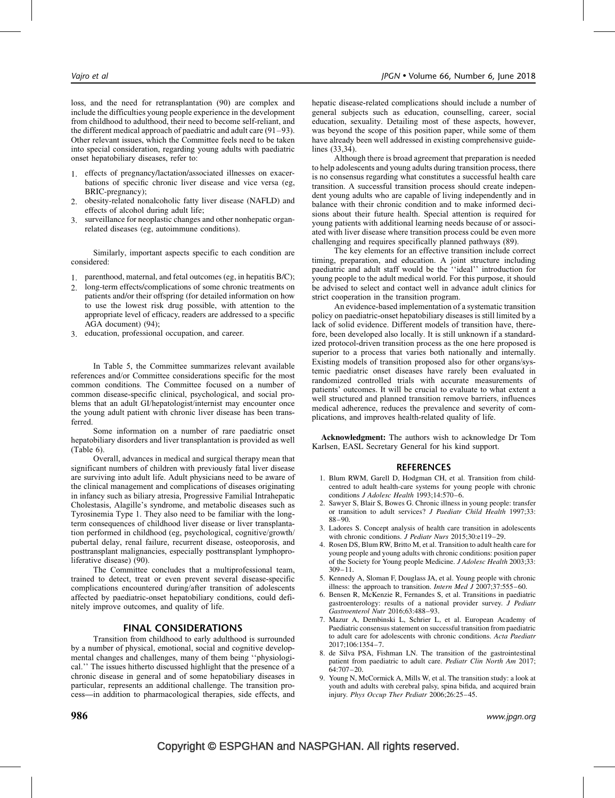loss, and the need for retransplantation (90) are complex and include the difficulties young people experience in the development from childhood to adulthood, their need to become self-reliant, and the different medical approach of paediatric and adult care (91–93). Other relevant issues, which the Committee feels need to be taken into special consideration, regarding young adults with paediatric onset hepatobiliary diseases, refer to:

- 1. effects of pregnancy/lactation/associated illnesses on exacerbations of specific chronic liver disease and vice versa (eg, BRIC-pregnancy);
- 2. obesity-related nonalcoholic fatty liver disease (NAFLD) and effects of alcohol during adult life;
- 3. surveillance for neoplastic changes and other nonhepatic organrelated diseases (eg, autoimmune conditions).

Similarly, important aspects specific to each condition are considered:

- 1. parenthood, maternal, and fetal outcomes (eg, in hepatitis B/C);
- 2. long-term effects/complications of some chronic treatments on patients and/or their offspring (for detailed information on how to use the lowest risk drug possible, with attention to the appropriate level of efficacy, readers are addressed to a specific AGA document) (94);
- 3. education, professional occupation, and career.

In Table 5, the Committee summarizes relevant available references and/or Committee considerations specific for the most common conditions. The Committee focused on a number of common disease-specific clinical, psychological, and social problems that an adult GI/hepatologist/internist may encounter once the young adult patient with chronic liver disease has been transferred.

Some information on a number of rare paediatric onset hepatobiliary disorders and liver transplantation is provided as well (Table 6).

Overall, advances in medical and surgical therapy mean that significant numbers of children with previously fatal liver disease are surviving into adult life. Adult physicians need to be aware of the clinical management and complications of diseases originating in infancy such as biliary atresia, Progressive Familial Intrahepatic Cholestasis, Alagille's syndrome, and metabolic diseases such as Tyrosinemia Type 1. They also need to be familiar with the longterm consequences of childhood liver disease or liver transplantation performed in childhood (eg, psychological, cognitive/growth/ pubertal delay, renal failure, recurrent disease, osteoporosis, and posttransplant malignancies, especially posttransplant lymphoproliferative disease) (90).

The Committee concludes that a multiprofessional team, trained to detect, treat or even prevent several disease-specific complications encountered during/after transition of adolescents affected by paediatric-onset hepatobiliary conditions, could definitely improve outcomes, and quality of life.

### FINAL CONSIDERATIONS

Transition from childhood to early adulthood is surrounded by a number of physical, emotional, social and cognitive developmental changes and challenges, many of them being ''physiological.'' The issues hitherto discussed highlight that the presence of a chronic disease in general and of some hepatobiliary diseases in particular, represents an additional challenge. The transition process—in addition to pharmacological therapies, side effects, and hepatic disease-related complications should include a number of general subjects such as education, counselling, career, social education, sexuality. Detailing most of these aspects, however, was beyond the scope of this position paper, while some of them have already been well addressed in existing comprehensive guidelines (33,34).

Although there is broad agreement that preparation is needed to help adolescents and young adults during transition process, there is no consensus regarding what constitutes a successful health care transition. A successful transition process should create independent young adults who are capable of living independently and in balance with their chronic condition and to make informed decisions about their future health. Special attention is required for young patients with additional learning needs because of or associated with liver disease where transition process could be even more challenging and requires specifically planned pathways (89).

The key elements for an effective transition include correct timing, preparation, and education. A joint structure including paediatric and adult staff would be the ''ideal'' introduction for young people to the adult medical world. For this purpose, it should be advised to select and contact well in advance adult clinics for strict cooperation in the transition program.

An evidence-based implementation of a systematic transition policy on paediatric-onset hepatobiliary diseases is still limited by a lack of solid evidence. Different models of transition have, therefore, been developed also locally. It is still unknown if a standardized protocol-driven transition process as the one here proposed is superior to a process that varies both nationally and internally. Existing models of transition proposed also for other organs/systemic paediatric onset diseases have rarely been evaluated in randomized controlled trials with accurate measurements of patients' outcomes. It will be crucial to evaluate to what extent a well structured and planned transition remove barriers, influences medical adherence, reduces the prevalence and severity of complications, and improves health-related quality of life.

Acknowledgment: The authors wish to acknowledge Dr Tom Karlsen, EASL Secretary General for his kind support.

#### REFERENCES

- 1. Blum RWM, Garell D, Hodgman CH, et al. Transition from childcentred to adult health-care systems for young people with chronic conditions J Adolesc Health 1993;14:570-6.
- 2. Sawyer S, Blair S, Bowes G. Chronic illness in young people: transfer or transition to adult services? J Paediatr Child Health 1997;33: 88–90.
- 3. Ladores S. Concept analysis of health care transition in adolescents with chronic conditions. J Pediatr Nurs 2015;30:e119-29.
- 4. Rosen DS, Blum RW, Britto M, et al. Transition to adult health care for young people and young adults with chronic conditions: position paper of the Society for Young people Medicine. J Adolesc Health 2003;33: 309–11.
- 5. Kennedy A, Sloman F, Douglass JA, et al. Young people with chronic illness: the approach to transition. Intern Med J 2007;37:555-60.
- 6. Bensen R, McKenzie R, Fernandes S, et al. Transitions in paediatric gastroenterology: results of a national provider survey. J Pediatr Gastroenterol Nutr 2016;63:488–93.
- 7. Mazur A, Dembinski L, Schrier L, et al. European Academy of Paediatric consensus statement on successful transition from paediatric to adult care for adolescents with chronic conditions. Acta Paediatr 2017;106:1354–7.
- 8. de Silva PSA, Fishman LN. The transition of the gastrointestinal patient from paediatric to adult care. Pediatr Clin North Am 2017; 64:707–20.
- 9. Young N, McCormick A, Mills W, et al. The transition study: a look at youth and adults with cerebral palsy, spina bifida, and acquired brain injury. Phys Occup Ther Pediatr 2006;26:25–45.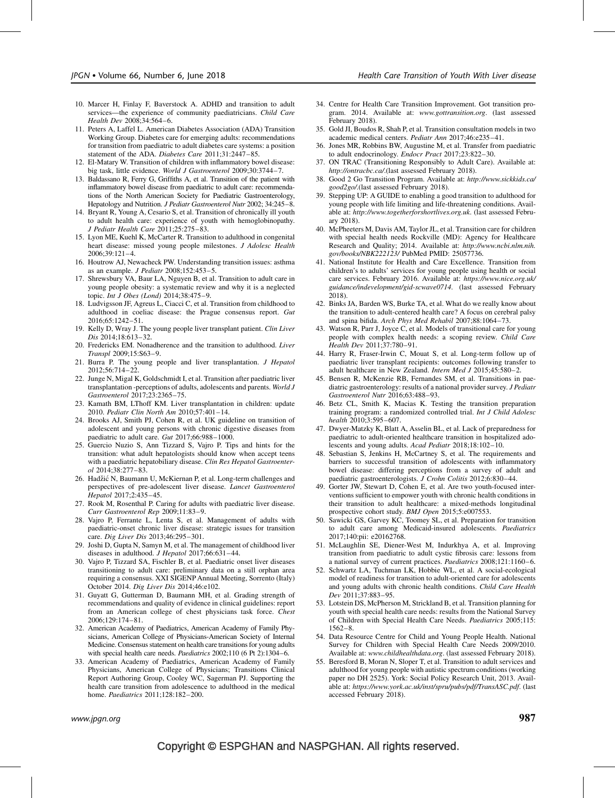- 10. Marcer H, Finlay F, Baverstock A. ADHD and transition to adult services—the experience of community paediatricians. Child Care Health Dev 2008;34:564–6.
- 11. Peters A, Laffel L. American Diabetes Association (ADA) Transition Working Group. Diabetes care for emerging adults: recommendations for transition from paediatric to adult diabetes care systems: a position statement of the ADA. Diabetes Care 2011;31:2447–85.
- 12. El-Matary W. Transition of children with inflammatory bowel disease: big task, little evidence. World J Gastroenterol 2009;30:3744-7.
- 13. Baldassano R, Ferry G, Griffiths A, et al. Transition of the patient with inflammatory bowel disease from paediatric to adult care: recommendations of the North American Society for Paediatric Gastroenterology, Hepatology and Nutrition. J Pediatr Gastroenterol Nutr 2002; 34:245–8.
- 14. Bryant R, Young A, Cesario S, et al. Transition of chronically ill youth to adult health care: experience of youth with hemoglobinopathy. J Pediatr Health Care 2011;25:275–83.
- 15. Lyon ME, Kuehl K, McCarter R. Transition to adulthood in congenital heart disease: missed young people milestones. J Adolesc Health 2006;39:121–4.
- 16. Houtrow AJ, Newacheck PW. Understanding transition issues: asthma as an example. J Pediatr 2008;152:453–5.
- 17. Shrewsbury VA, Baur LA, Nguyen B, et al. Transition to adult care in young people obesity: a systematic review and why it is a neglected topic. Int J Obes (Lond) 2014;38:475–9.
- 18. Ludvigsson JF, Agreus L, Ciacci C, et al. Transition from childhood to adulthood in coeliac disease: the Prague consensus report. Gut 2016;65:1242–51.
- 19. Kelly D, Wray J. The young people liver transplant patient. Clin Liver Dis 2014;18:613–32.
- 20. Fredericks EM. Nonadherence and the transition to adulthood. Liver Transpl 2009;15:S63–9.
- 21. Burra P. The young people and liver transplantation. J Hepatol 2012;56:714–22.
- 22. Junge N, Migal K, Goldschmidt I, et al. Transition after paediatric liver transplantation -perceptions of adults, adolescents and parents. World J Gastroenterol 2017;23:2365–75.
- 23. Kamath BM, LThoff KM. Liver transplantation in children: update 2010. Pediatr Clin North Am 2010;57:401–14.
- 24. Brooks AJ, Smith PJ, Cohen R, et al. UK guideline on transition of adolescent and young persons with chronic digestive diseases from paediatric to adult care. Gut 2017;66:988–1000.
- 25. Guercio Nuzio S, Ann Tizzard S, Vajro P. Tips and hints for the transition: what adult hepatologists should know when accept teens with a paediatric hepatobiliary disease. Clin Res Hepatol Gastroenterol 2014;38:277–83.
- 26. Hadžić N, Baumann U, McKiernan P, et al. Long-term challenges and perspectives of pre-adolescent liver disease. Lancet Gastroenterol Hepatol 2017;2:435–45.
- 27. Rook M, Rosenthal P. Caring for adults with paediatric liver disease. Curr Gastroenterol Rep 2009;11:83–9.
- 28. Vajro P, Ferrante L, Lenta S, et al. Management of adults with paediatric-onset chronic liver disease: strategic issues for transition care. Dig Liver Dis 2013;46:295–301.
- 29. Joshi D, Gupta N, Samyn M, et al. The management of childhood liver diseases in adulthood. J Hepatol 2017;66:631-44.
- 30. Vajro P, Tizzard SA, Fischler B, et al. Paediatric onset liver diseases transitioning to adult care: preliminary data on a still orphan area requiring a consensus. XXI SIGENP Annual Meeting, Sorrento (Italy) October 2014. Dig Liver Dis 2014;46:e102.
- 31. Guyatt G, Gutterman D, Baumann MH, et al. Grading strength of recommendations and quality of evidence in clinical guidelines: report from an American college of chest physicians task force. Chest 2006;129:174–81.
- 32. American Academy of Paediatrics, American Academy of Family Physicians, American College of Physicians-American Society of Internal Medicine. Consensus statement on health care transitions for young adults with special health care needs. *Paediatrics* 2002;110 (6 Pt 2):1304–6.
- 33. American Academy of Paediatrics, American Academy of Family Physicians, American College of Physicians; Transitions Clinical Report Authoring Group, Cooley WC, Sagerman PJ. Supporting the health care transition from adolescence to adulthood in the medical home. Paediatrics 2011;128:182–200.
- 34. Centre for Health Care Transition Improvement. Got transition program. 2014. Available at: [www.gottransition.org](http://www.gottransition.org/). (last assessed February 2018).
- 35. Gold JI, Boudos R, Shah P, et al. Transition consultation models in two academic medical centers. Pediatr Ann 2017;46:e235–41.
- 36. Jones MR, Robbins BW, Augustine M, et al. Transfer from paediatric to adult endocrinology. Endocr Pract 2017;23:822–30.
- 37. ON TRAC (Transitioning Responsibly to Adult Care). Available at: <http://ontracbc.ca/>.(last assessed February 2018).
- 38. Good 2 Go Transition Program. Available at: [http://www.sickkids.ca/](http://www.sickkids.ca/good2go/) [good2go/](http://www.sickkids.ca/good2go/).(last assessed February 2018).
- 39. Stepping UP: A GUIDE to enabling a good transition to adulthood for young people with life limiting and life-threatening conditions. Available at: [http://www.togetherforshortlives.org.uk](http://www.togetherforshortlives.org.uk/). (last assessed February 2018).
- 40. McPheeters M, Davis AM, Taylor JL, et al. Transition care for children with special health needs Rockville (MD): Agency for Healthcare Research and Quality; 2014. Available at: [http://www.ncbi.nlm.nih.](http://www.ncbi.nlm.nih.gov/books/NBK222123/) [gov/books/NBK222123/](http://www.ncbi.nlm.nih.gov/books/NBK222123/) PubMed PMID: 25057736.
- 41. National Institute for Health and Care Excellence. Transition from children's to adults' services for young people using health or social care services. February 2016. Available at: [https://www.nice.org.uk/](https://www.nice.org.uk/guidance/indevelopment/gid-scwave0714) [guidance/indevelopment/gid-scwave0714](https://www.nice.org.uk/guidance/indevelopment/gid-scwave0714). (last assessed February 2018).
- 42. Binks JA, Barden WS, Burke TA, et al. What do we really know about the transition to adult-centered health care? A focus on cerebral palsy and spina bifida. Arch Phys Med Rehabil 2007;88:1064–73.
- 43. Watson R, Parr J, Joyce C, et al. Models of transitional care for young people with complex health needs: a scoping review. Child Care Health Dev 2011;37:780–91.
- 44. Harry R, Fraser-Irwin C, Mouat S, et al. Long-term follow up of paediatric liver transplant recipients: outcomes following transfer to adult healthcare in New Zealand. Intern Med J 2015;45:580–2.
- 45. Bensen R, McKenzie RB, Fernandes SM, et al. Transitions in paediatric gastroenterology: results of a national provider survey. J Pediatr Gastroenterol Nutr 2016;63:488–93.
- 46. Betz CL, Smith K, Macias K. Testing the transition preparation training program: a randomized controlled trial. Int J Child Adolesc health 2010;3:595–607.
- 47. Dwyer-Matzky K, Blatt A, Asselin BL, et al. Lack of preparedness for paediatric to adult-oriented healthcare transition in hospitalized adolescents and young adults. Acad Pediatr 2018;18:102–10.
- 48. Sebastian S, Jenkins H, McCartney S, et al. The requirements and barriers to successful transition of adolescents with inflammatory bowel disease: differing perceptions from a survey of adult and paediatric gastroenterologists. J Crohn Colitis 2012;6:830–44.
- 49. Gorter JW, Stewart D, Cohen E, et al. Are two youth-focused interventions sufficient to empower youth with chronic health conditions in their transition to adult healthcare: a mixed-methods longitudinal prospective cohort study. BMJ Open 2015;5:e007553.
- 50. Sawicki GS, Garvey KC, Toomey SL, et al. Preparation for transition to adult care among Medicaid-insured adolescents. Paediatrics 2017;140:pii: e20162768.
- 51. McLaughlin SE, Diener-West M, Indurkhya A, et al. Improving transition from paediatric to adult cystic fibrosis care: lessons from a national survey of current practices. Paediatrics 2008;121:1160–6.
- 52. Schwartz LA, Tuchman LK, Hobbie WL, et al. A social-ecological model of readiness for transition to adult-oriented care for adolescents and young adults with chronic health conditions. Child Care Health Dev 2011;37:883–95.
- 53. Lotstein DS, McPherson M, Strickland B, et al. Transition planning for youth with special health care needs: results from the National Survey of Children with Special Health Care Needs. Paediatrics 2005;115: 1562–8.
- 54. Data Resource Centre for Child and Young People Health. National Survey for Children with Special Health Care Needs 2009/2010. Available at: [www.childhealthdata.org](http://www.childhealthdata.org/). (last assessed February 2018).
- 55. Beresford B, Moran N, Sloper T, et al. Transition to adult services and adulthood for young people with autistic spectrum conditions (working paper no DH 2525). York: Social Policy Research Unit, 2013. Available at: <https://www.york.ac.uk/inst/spru/pubs/pdf/TransASC.pdf>. (last accessed February 2018).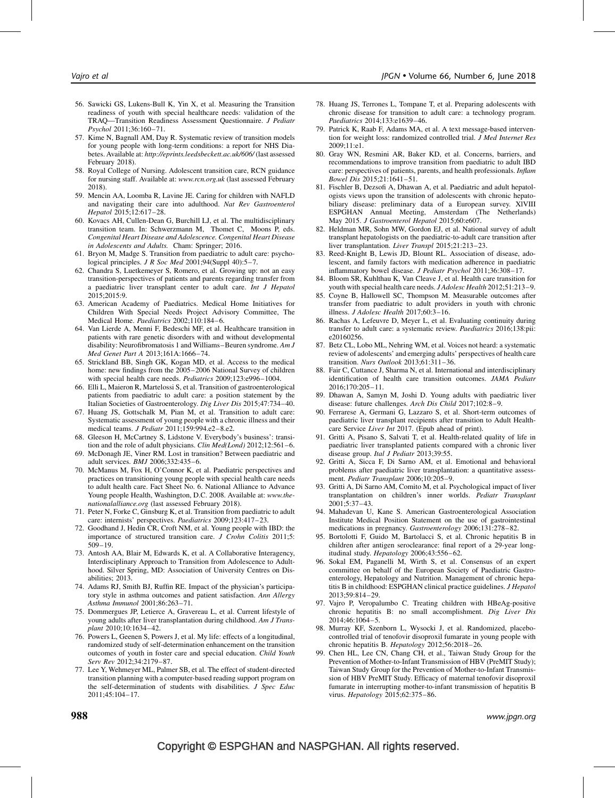- 56. Sawicki GS, Lukens-Bull K, Yin X, et al. Measuring the Transition readiness of youth with special healthcare needs: validation of the TRAQ—Transition Readiness Assessment Questionnaire. J Pediatr Psychol 2011;36:160–71.
- 57. Kime N, Bagnall AM, Day R. Systematic review of transition models for young people with long-term conditions: a report for NHS Diabetes. Available at: <http://eprints.leedsbeckett.ac.uk/606/> (last assessed February 2018).
- 58. Royal College of Nursing. Adolescent transition care, RCN guidance for nursing staff. Available at: [www.rcn.org.uk](http://www.rcn.org.uk/) (last assessed February 2018).
- 59. Mencin AA, Loomba R, Lavine JE. Caring for children with NAFLD and navigating their care into adulthood. Nat Rev Gastroenterol Hepatol 2015;12:617–28.
- 60. Kovacs AH, Cullen-Dean G, Burchill LJ, et al. The multidisciplinary transition team. In: Schwerzmann M, Thomet C, Moons P, eds. Congenital Heart Disease and Adolescence. Congenital Heart Disease in Adolescents and Adults. Cham: Springer; 2016.
- 61. Bryon M, Madge S. Transition from paediatric to adult care: psychological principles. J R Soc Med 2001;94(Suppl 40):5-7.
- 62. Chandra S, Luetkemeyer S, Romero, et al. Growing up: not an easy transition-perspectives of patients and parents regarding transfer from a paediatric liver transplant center to adult care. Int J Hepatol 2015;2015:9.
- 63. American Academy of Paediatrics. Medical Home Initiatives for Children With Special Needs Project Advisory Committee, The Medical Home. Paediatrics 2002;110:184–6.
- 64. Van Lierde A, Menni F, Bedeschi MF, et al. Healthcare transition in patients with rare genetic disorders with and without developmental disability: Neurofibromatosis 1 and Williams–Beuren syndrome. Am J Med Genet Part A 2013;161A:1666–74.
- 65. Strickland BB, Singh GK, Kogan MD, et al. Access to the medical home: new findings from the 2005–2006 National Survey of children with special health care needs. Pediatrics 2009;123:e996–1004.
- 66. Elli L, Maieron R, Martelossi S, et al. Transition of gastroenterological patients from paediatric to adult care: a position statement by the Italian Societies of Gastroenterology. Dig Liver Dis 2015;47:734–40.
- 67. Huang JS, Gottschalk M, Pian M, et al. Transition to adult care: Systematic assessment of young people with a chronic illness and their medical teams. J Pediatr 2011;159:994.e2–8.e2.
- 68. Gleeson H, McCartney S, Lidstone V. Everybody's business': transition and the role of adult physicians. Clin Med(Lond) 2012;12:561–6.
- 69. McDonagh JE, Viner RM. Lost in transition? Between paediatric and adult services. BMJ 2006;332:435–6.
- 70. McManus M, Fox H, O'Connor K, et al. Paediatric perspectives and practices on transitioning young people with special health care needs to adult health care. Fact Sheet No. 6. National Alliance to Advance Young people Health, Washington, D.C. 2008. Available at: [www.the](http://www.thenationalalliance.org/)[nationalalliance.org](http://www.thenationalalliance.org/) (last assessed February 2018).
- 71. Peter N, Forke C, Ginsburg K, et al. Transition from paediatric to adult care: internists' perspectives. Paediatrics 2009;123:417–23.
- 72. Goodhand J, Hedin CR, Croft NM, et al. Young people with IBD: the importance of structured transition care. *J Crohn Colitis* 2011;5: 509–19.
- 73. Antosh AA, Blair M, Edwards K, et al. A Collaborative Interagency, Interdisciplinary Approach to Transition from Adolescence to Adulthood. Silver Spring, MD: Association of University Centres on Disabilities; 2013.
- 74. Adams RJ, Smith BJ, Ruffin RE. Impact of the physician's participatory style in asthma outcomes and patient satisfaction. Ann Allergy Asthma Immunol 2001;86:263–71.
- 75. Dommergues JP, Letierce A, Gravereau L, et al. Current lifestyle of young adults after liver transplantation during childhood. Am J Transplant 2010;10:1634–42.
- 76. Powers L, Geenen S, Powers J, et al. My life: effects of a longitudinal, randomized study of self-determination enhancement on the transition outcomes of youth in foster care and special education. Child Youth Serv Rev 2012;34:2179–87.
- 77. Lee Y, Wehmeyer ML, Palmer SB, et al. The effect of student-directed transition planning with a computer-based reading support program on the self-determination of students with disabilities. J Spec Educ 2011;45:104–17.
- 78. Huang JS, Terrones L, Tompane T, et al. Preparing adolescents with chronic disease for transition to adult care: a technology program. Paediatrics 2014;133:e1639–46.
- 79. Patrick K, Raab F, Adams MA, et al. A text message-based intervention for weight loss: randomized controlled trial. J Med Internet Res  $2009:11:e1$
- 80. Gray WN, Resmini AR, Baker KD, et al. Concerns, barriers, and recommendations to improve transition from paediatric to adult IBD care: perspectives of patients, parents, and health professionals. Inflam Bowel Dis 2015;21:1641–51.
- 81. Fischler B, Dezsofi A, Dhawan A, et al. Paediatric and adult hepatologists views upon the transition of adolescents with chronic hepatobiliary disease: preliminary data of a European survey. XlVIII ESPGHAN Annual Meeting, Amsterdam (The Netherlands) May 2015. J Gastroenterol Hepatol 2015;60:e607.
- 82. Heldman MR, Sohn MW, Gordon EJ, et al. National survey of adult transplant hepatologists on the paediatric-to-adult care transition after liver transplantation. Liver Transpl 2015;21:213–23.
- 83. Reed-Knight B, Lewis JD, Blount RL. Association of disease, adolescent, and family factors with medication adherence in paediatric inflammatory bowel disease. J Pediatr Psychol 2011;36:308–17.
- 84. Bloom SR, Kuhlthau K, Van Cleave J, et al. Health care transition for youth with special health care needs. J Adolesc Health 2012;51:213–9.
- 85. Coyne B, Hallowell SC, Thompson M. Measurable outcomes after transfer from paediatric to adult providers in youth with chronic illness. J Adolesc Health 2017;60:3–16.
- 86. Rachas A, Lefeuvre D, Meyer L, et al. Evaluating continuity during transfer to adult care: a systematic review. Paediatrics 2016;138:pii: e20160256.
- 87. Betz CL, Lobo ML, Nehring WM, et al. Voices not heard: a systematic review of adolescents' and emerging adults' perspectives of health care transition. Nurs Outlook 2013;61:311–36.
- 88. Fair C, Cuttance J, Sharma N, et al. International and interdisciplinary identification of health care transition outcomes. JAMA Pediatr 2016;170:205–11.
- 89. Dhawan A, Samyn M, Joshi D. Young adults with paediatric liver disease: future challenges. Arch Dis Child 2017;102:8–9.
- 90. Ferrarese A, Germani G, Lazzaro S, et al. Short-term outcomes of paediatric liver transplant recipients after transition to Adult Healthcare Service Liver Int 2017. (Epub ahead of print).
- 91. Gritti A, Pisano S, Salvati T, et al. Health-related quality of life in paediatric liver transplanted patients compared with a chronic liver disease group. Ital J Pediatr 2013;39:55.
- 92. Gritti A, Sicca F, Di Sarno AM, et al. Emotional and behavioral problems after paediatric liver transplantation: a quantitative assessment. Pediatr Transplant 2006;10:205–9.
- 93. Gritti A, Di Sarno AM, Comito M, et al. Psychological impact of liver transplantation on children's inner worlds. Pediatr Transplant 2001;5:37–43.
- 94. Mahadevan U, Kane S. American Gastroenterological Association Institute Medical Position Statement on the use of gastrointestinal medications in pregnancy. Gastroenterology 2006;131:278–82.
- 95. Bortolotti F, Guido M, Bartolacci S, et al. Chronic hepatitis B in children after antigen seroclearance: final report of a 29-year longitudinal study. Hepatology 2006;43:556–62.
- 96. Sokal EM, Paganelli M, Wirth S, et al. Consensus of an expert committee on behalf of the European Society of Paediatric Gastroenterology, Hepatology and Nutrition. Management of chronic hepatitis B in childhood: ESPGHAN clinical practice guidelines. J Hepatol 2013;59:814–29.
- 97. Vajro P, Veropalumbo C. Treating children with HBeAg-positive chronic hepatitis B: no small accomplishment. Dig Liver Dis 2014;46:1064–5.
- 98. Murray KF, Szenborn L, Wysocki J, et al. Randomized, placebocontrolled trial of tenofovir disoproxil fumarate in young people with chronic hepatitis B. Hepatology 2012;56:2018–26.
- 99. Chen HL, Lee CN, Chang CH, et al., Taiwan Study Group for the Prevention of Mother-to-Infant Transmission of HBV (PreMIT Study); Taiwan Study Group for the Prevention of Mother-to-Infant Transmission of HBV PreMIT Study. Efficacy of maternal tenofovir disoproxil fumarate in interrupting mother-to-infant transmission of hepatitis B virus. Hepatology 2015;62:375–86.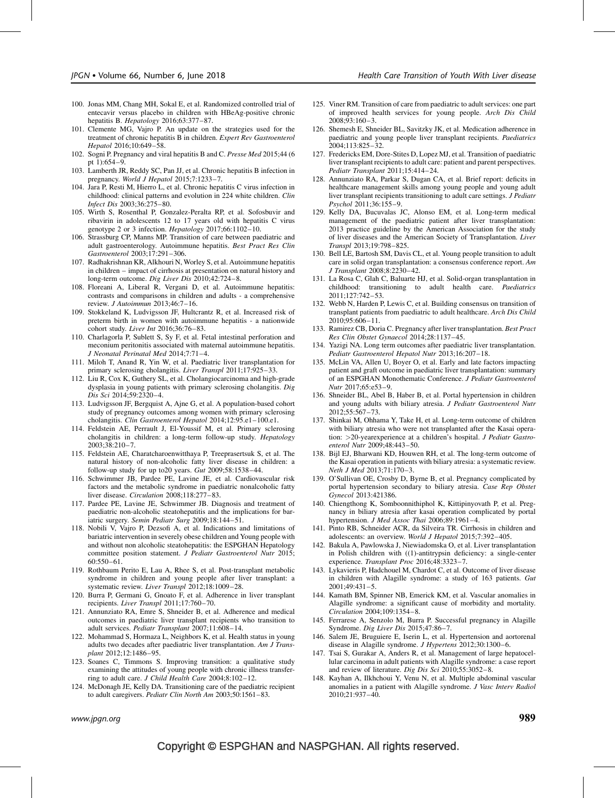- 100. Jonas MM, Chang MH, Sokal E, et al. Randomized controlled trial of entecavir versus placebo in children with HBeAg-positive chronic hepatitis B. Hepatology 2016;63:377–87.
- 101. Clemente MG, Vajro P. An update on the strategies used for the treatment of chronic hepatitis B in children. Expert Rev Gastroenterol Hepatol 2016;10:649–58.
- 102. Sogni P. Pregnancy and viral hepatitis B and C. Presse Med 2015;44 (6 pt 1):654–9.
- 103. Lamberth JR, Reddy SC, Pan JJ, et al. Chronic hepatitis B infection in pregnancy. World J Hepatol 2015;7:1233–7.
- 104. Jara P, Resti M, Hierro L, et al. Chronic hepatitis C virus infection in childhood: clinical patterns and evolution in 224 white children. Clin Infect Dis 2003;36:275–80.
- 105. Wirth S, Rosenthal P, Gonzalez-Peralta RP, et al. Sofosbuvir and ribavirin in adolescents 12 to 17 years old with hepatitis C virus genotype 2 or 3 infection. Hepatology 2017;66:1102-10.
- 106. Strassburg CP, Manns MP. Transition of care between paediatric and adult gastroenterology. Autoimmune hepatitis. Best Pract Res Clin Gastroenterol 2003;17:291–306.
- 107. Radhakrishnan KR, Alkhouri N, Worley S, et al. Autoimmune hepatitis in children – impact of cirrhosis at presentation on natural history and long-term outcome. Dig Liver Dis 2010;42:724–8.
- 108. Floreani A, Liberal R, Vergani D, et al. Autoimmune hepatitis: contrasts and comparisons in children and adults - a comprehensive review. J Autoimmun 2013;46:7–16.
- 109. Stokkeland K, Ludvigsson JF, Hultcrantz R, et al. Increased risk of preterm birth in women with autoimmune hepatitis - a nationwide cohort study. *Liver Int* 2016;36:76-83.
- 110. Charlagorla P, Sublett S, Sy F, et al. Fetal intestinal perforation and meconium peritonitis associated with maternal autoimmune hepatitis. J Neonatal Perinatal Med 2014;7:71–4.
- 111. Miloh T, Anand R, Yin W, et al. Paediatric liver transplantation for primary sclerosing cholangitis. Liver Transpl 2011;17:925-33.
- 112. Liu R, Cox K, Guthery SL, et al. Cholangiocarcinoma and high-grade dysplasia in young patients with primary sclerosing cholangitis. Dig Dis Sci 2014;59:2320–4.
- 113. Ludvigsson JF, Bergquist A, Ajne G, et al. A population-based cohort study of pregnancy outcomes among women with primary sclerosing cholangitis. Clin Gastroenterol Hepatol 2014;12:95.e1-100.e1.
- 114. Feldstein AE, Perrault J, El-Youssif M, et al. Primary sclerosing cholangitis in children: a long-term follow-up study. Hepatology 2003;38:210–7.
- 115. Feldstein AE, Charatcharoenwitthaya P, Treeprasertsuk S, et al. The natural history of non-alcoholic fatty liver disease in children: a follow-up study for up to20 years. Gut 2009;58:1538–44.
- 116. Schwimmer JB, Pardee PE, Lavine JE, et al. Cardiovascular risk factors and the metabolic syndrome in paediatric nonalcoholic fatty liver disease. Circulation 2008;118:277–83.
- 117. Pardee PE, Lavine JE, Schwimmer JB. Diagnosis and treatment of paediatric non-alcoholic steatohepatitis and the implications for bariatric surgery. Semin Pediatr Surg 2009;18:144–51.
- 118. Nobili V, Vajro P, Dezsofi A, et al. Indications and limitations of bariatric intervention in severely obese children and Young people with and without non alcoholic steatohepatitis: the ESPGHAN Hepatology committee position statement. *J Pediatr Gastroenterol Nutr* 2015; 60:550–61.
- 119. Rothbaum Perito E, Lau A, Rhee S, et al. Post-transplant metabolic syndrome in children and young people after liver transplant: a systematic review. Liver Transpl 2012;18:1009–28.
- 120. Burra P, Germani G, Gnoato F, et al. Adherence in liver transplant recipients. Liver Transpl 2011;17:760–70.
- 121. Annunziato RA, Emre S, Shneider B, et al. Adherence and medical outcomes in paediatric liver transplant recipients who transition to adult services. Pediatr Transplant 2007;11:608–14.
- 122. Mohammad S, Hormaza L, Neighbors K, et al. Health status in young adults two decades after paediatric liver transplantation. Am J Transplant 2012;12:1486–95.
- 123. Soanes C, Timmons S. Improving transition: a qualitative study examining the attitudes of young people with chronic illness transferring to adult care. J Child Health Care 2004;8:102–12.
- 124. McDonagh JE, Kelly DA. Transitioning care of the paediatric recipient to adult caregivers. Pediatr Clin North Am 2003;50:1561–83.
- 125. Viner RM. Transition of care from paediatric to adult services: one part of improved health services for young people. Arch Dis Child 2008;93:160–3.
- 126. Shemesh E, Shneider BL, Savitzky JK, et al. Medication adherence in paediatric and young people liver transplant recipients. Paediatrics 2004;113:825–32.
- 127. Fredericks EM, Dore-Stites D, Lopez MJ, et al. Transition of paediatric liver transplant recipients to adult care: patient and parent perspectives. Pediatr Transplant 2011;15:414–24.
- 128. Annunziato RA, Parkar S, Dugan CA, et al. Brief report: deficits in healthcare management skills among young people and young adult liver transplant recipients transitioning to adult care settings. J Pediatr Psychol 2011;36:155–9.
- 129. Kelly DA, Bucuvalas JC, Alonso EM, et al. Long-term medical management of the paediatric patient after liver transplantation: 2013 practice guideline by the American Association for the study of liver diseases and the American Society of Transplantation. Liver Transpl 2013;19:798–825.
- 130. Bell LE, Bartosh SM, Davis CL, et al. Young people transition to adult care in solid organ transplantation: a consensus conference report. Am J Transplant 2008;8:2230–42.
- 131. La Rosa C, Glah C, Baluarte HJ, et al. Solid-organ transplantation in childhood: transitioning to adult health care. Paediatrics 2011;127:742–53.
- 132. Webb N, Harden P, Lewis C, et al. Building consensus on transition of transplant patients from paediatric to adult healthcare. Arch Dis Child 2010;95:606–11.
- 133. Ramirez CB, Doria C. Pregnancy after liver transplantation. Best Pract Res Clin Obstet Gynaecol 2014;28:1137–45.
- 134. Yazigi NA. Long term outcomes after paediatric liver transplantation. Pediatr Gastroenterol Hepatol Nutr 2013;16:207–18.
- 135. McLin VA, Allen U, Boyer O, et al. Early and late factors impacting patient and graft outcome in paediatric liver transplantation: summary of an ESPGHAN Monothematic Conference. J Pediatr Gastroenterol Nutr 2017;65:e53–9.
- 136. Shneider BL, Abel B, Haber B, et al. Portal hypertension in children and young adults with biliary atresia. J Pediatr Gastroenterol Nutr 2012;55:567–73.
- 137. Shinkai M, Ohhama Y, Take H, et al. Long-term outcome of children with biliary atresia who were not transplanted after the Kasai operation: >20-yearexperience at a children's hospital. J Pediatr Gastroenterol Nutr 2009;48:443–50.
- 138. Bijl EJ, Bharwani KD, Houwen RH, et al. The long-term outcome of the Kasai operation in patients with biliary atresia: a systematic review. Neth J Med 2013;71:170–3.
- 139. O'Sullivan OE, Crosby D, Byrne B, et al. Pregnancy complicated by portal hypertension secondary to biliary atresia. Case Rep Obstet Gynecol 2013:421386.
- 140. Chiengthong K, Somboonnithiphol K, Kittipinyovath P, et al. Pregnancy in biliary atresia after kasai operation complicated by portal hypertension. J Med Assoc Thai 2006;89:1961–4.
- 141. Pinto RB, Schneider ACR, da Silveira TR. Cirrhosis in children and adolescents: an overview. World J Hepatol 2015;7:392–405.
- 142. Bakula A, Pawlowska J, Niewiadomska O, et al. Liver transplantation in Polish children with ((1)-antitrypsin deficiency: a single-center experience. Transplant Proc 2016;48:3323–7.
- 143. Lykavieris P, Hadchouel M, Chardot C, et al. Outcome of liver disease in children with Alagille syndrome: a study of 163 patients. Gut 2001;49:431–5.
- 144. Kamath BM, Spinner NB, Emerick KM, et al. Vascular anomalies in Alagille syndrome: a significant cause of morbidity and mortality. Circulation 2004;109:1354–8.
- 145. Ferrarese A, Senzolo M, Burra P. Successful pregnancy in Alagille Syndrome. Dig Liver Dis 2015;47:86–7.
- 146. Salem JE, Bruguiere E, Iserin L, et al. Hypertension and aortorenal disease in Alagille syndrome. J Hypertens 2012;30:1300–6.
- 147. Tsai S, Gurakar A, Anders R, et al. Management of large hepatocellular carcinoma in adult patients with Alagille syndrome: a case report and review of literature. Dig Dis Sci 2010;55:3052–8.
- 148. Kayhan A, Ilkhchoui Y, Venu N, et al. Multiple abdominal vascular anomalies in a patient with Alagille syndrome. J Vasc Interv Radiol 2010;21:937–40.

www.jpgn.org **989**